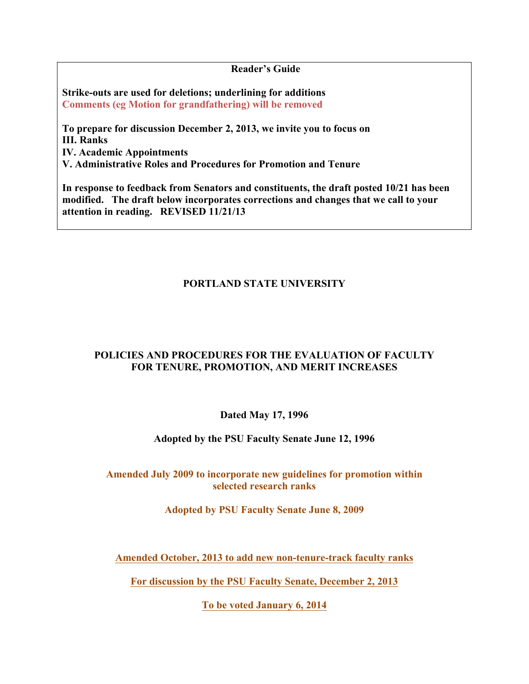#### **Reader's Guide**

**Strike-outs are used for deletions; underlining for additions Comments (eg Motion for grandfathering) will be removed**

**To prepare for discussion December 2, 2013, we invite you to focus on III. Ranks IV. Academic Appointments V. Administrative Roles and Procedures for Promotion and Tenure**

**In response to feedback from Senators and constituents, the draft posted 10/21 has been modified. The draft below incorporates corrections and changes that we call to your attention in reading. REVISED 11/21/13**

## **PORTLAND STATE UNIVERSITY**

## **POLICIES AND PROCEDURES FOR THE EVALUATION OF FACULTY FOR TENURE, PROMOTION, AND MERIT INCREASES**

## **Dated May 17, 1996**

## **Adopted by the PSU Faculty Senate June 12, 1996**

#### **Amended July 2009 to incorporate new guidelines for promotion within selected research ranks**

**Adopted by PSU Faculty Senate June 8, 2009**

**Amended October, 2013 to add new non-tenure-track faculty ranks**

**For discussion by the PSU Faculty Senate, December 2, 2013**

**To be voted January 6, 2014**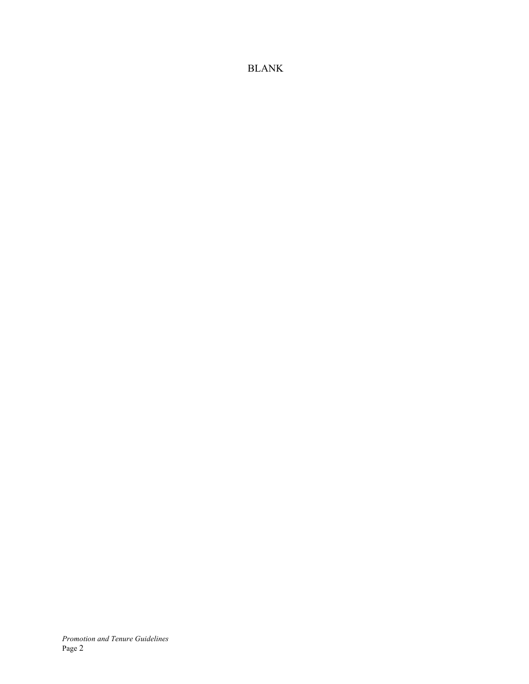BLANK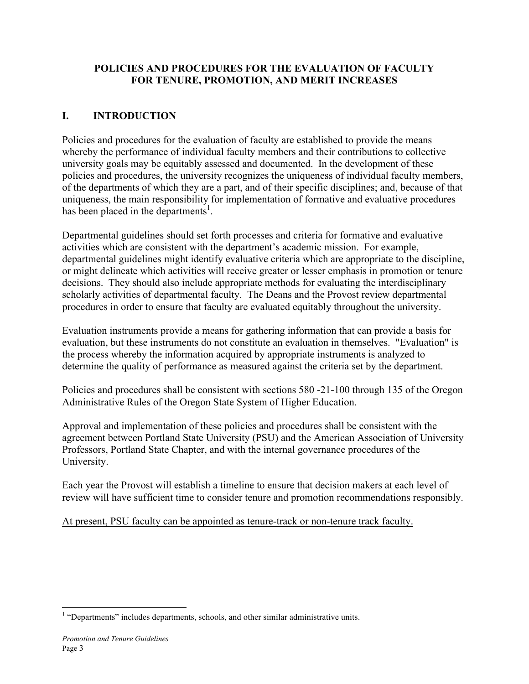## **POLICIES AND PROCEDURES FOR THE EVALUATION OF FACULTY FOR TENURE, PROMOTION, AND MERIT INCREASES**

# **I. INTRODUCTION**

Policies and procedures for the evaluation of faculty are established to provide the means whereby the performance of individual faculty members and their contributions to collective university goals may be equitably assessed and documented. In the development of these policies and procedures, the university recognizes the uniqueness of individual faculty members, of the departments of which they are a part, and of their specific disciplines; and, because of that uniqueness, the main responsibility for implementation of formative and evaluative procedures has been placed in the departments<sup>1</sup>.

Departmental guidelines should set forth processes and criteria for formative and evaluative activities which are consistent with the department's academic mission. For example, departmental guidelines might identify evaluative criteria which are appropriate to the discipline, or might delineate which activities will receive greater or lesser emphasis in promotion or tenure decisions. They should also include appropriate methods for evaluating the interdisciplinary scholarly activities of departmental faculty.The Deans and the Provost review departmental procedures in order to ensure that faculty are evaluated equitably throughout the university.

Evaluation instruments provide a means for gathering information that can provide a basis for evaluation, but these instruments do not constitute an evaluation in themselves. "Evaluation" is the process whereby the information acquired by appropriate instruments is analyzed to determine the quality of performance as measured against the criteria set by the department.

Policies and procedures shall be consistent with sections 580 -21-100 through 135 of the Oregon Administrative Rules of the Oregon State System of Higher Education.

Approval and implementation of these policies and procedures shall be consistent with the agreement between Portland State University (PSU) and the American Association of University Professors, Portland State Chapter, and with the internal governance procedures of the University.

Each year the Provost will establish a timeline to ensure that decision makers at each level of review will have sufficient time to consider tenure and promotion recommendations responsibly.

At present, PSU faculty can be appointed as tenure-track or non-tenure track faculty.

<sup>&</sup>lt;sup>1</sup> "Departments" includes departments, schools, and other similar administrative units.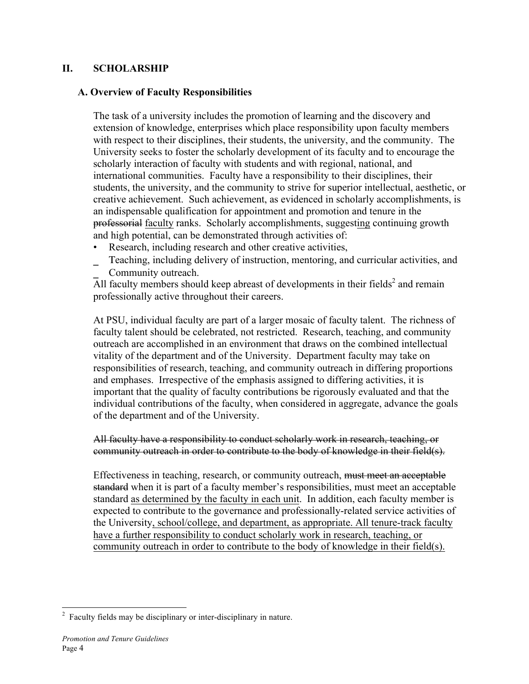## **II. SCHOLARSHIP**

### **A. Overview of Faculty Responsibilities**

The task of a university includes the promotion of learning and the discovery and extension of knowledge, enterprises which place responsibility upon faculty members with respect to their disciplines, their students, the university, and the community. The University seeks to foster the scholarly development of its faculty and to encourage the scholarly interaction of faculty with students and with regional, national, and international communities. Faculty have a responsibility to their disciplines, their students, the university, and the community to strive for superior intellectual, aesthetic, or creative achievement. Such achievement, as evidenced in scholarly accomplishments, is an indispensable qualification for appointment and promotion and tenure in the professorial faculty ranks. Scholarly accomplishments, suggesting continuing growth and high potential, can be demonstrated through activities of:

- Research, including research and other creative activities,
- Teaching, including delivery of instruction, mentoring, and curricular activities, and Community outreach.

All faculty members should keep abreast of developments in their fields<sup>2</sup> and remain professionally active throughout their careers.

At PSU, individual faculty are part of a larger mosaic of faculty talent. The richness of faculty talent should be celebrated, not restricted. Research, teaching, and community outreach are accomplished in an environment that draws on the combined intellectual vitality of the department and of the University. Department faculty may take on responsibilities of research, teaching, and community outreach in differing proportions and emphases. Irrespective of the emphasis assigned to differing activities, it is important that the quality of faculty contributions be rigorously evaluated and that the individual contributions of the faculty, when considered in aggregate, advance the goals of the department and of the University.

#### All faculty have a responsibility to conduct scholarly work in research, teaching, or community outreach in order to contribute to the body of knowledge in their field(s).

Effectiveness in teaching, research, or community outreach, must meet an acceptable standard when it is part of a faculty member's responsibilities, must meet an acceptable standard as determined by the faculty in each unit. In addition, each faculty member is expected to contribute to the governance and professionally-related service activities of the University, school/college, and department, as appropriate. All tenure-track faculty have a further responsibility to conduct scholarly work in research, teaching, or community outreach in order to contribute to the body of knowledge in their field(s).

<sup>&</sup>lt;sup>2</sup> Faculty fields may be disciplinary or inter-disciplinary in nature.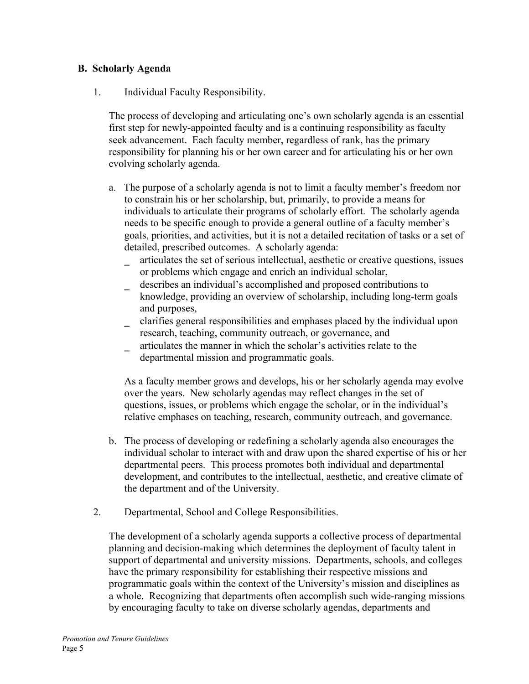### **B. Scholarly Agenda**

### 1. Individual Faculty Responsibility.

The process of developing and articulating one's own scholarly agenda is an essential first step for newly-appointed faculty and is a continuing responsibility as faculty seek advancement. Each faculty member, regardless of rank, has the primary responsibility for planning his or her own career and for articulating his or her own evolving scholarly agenda.

- a. The purpose of a scholarly agenda is not to limit a faculty member's freedom nor to constrain his or her scholarship, but, primarily, to provide a means for individuals to articulate their programs of scholarly effort. The scholarly agenda needs to be specific enough to provide a general outline of a faculty member's goals, priorities, and activities, but it is not a detailed recitation of tasks or a set of detailed, prescribed outcomes. A scholarly agenda:
	- \_ articulates the set of serious intellectual, aesthetic or creative questions, issues or problems which engage and enrich an individual scholar,
	- \_ describes an individual's accomplished and proposed contributions to
	- knowledge, providing an overview of scholarship, including long-term goals and purposes,
	- \_ clarifies general responsibilities and emphases placed by the individual upon research, teaching, community outreach, or governance, and
	- \_ articulates the manner in which the scholar's activities relate to the departmental mission and programmatic goals.

As a faculty member grows and develops, his or her scholarly agenda may evolve over the years. New scholarly agendas may reflect changes in the set of questions, issues, or problems which engage the scholar, or in the individual's relative emphases on teaching, research, community outreach, and governance.

- b. The process of developing or redefining a scholarly agenda also encourages the individual scholar to interact with and draw upon the shared expertise of his or her departmental peers. This process promotes both individual and departmental development, and contributes to the intellectual, aesthetic, and creative climate of the department and of the University.
- 2. Departmental, School and College Responsibilities.

The development of a scholarly agenda supports a collective process of departmental planning and decision-making which determines the deployment of faculty talent in support of departmental and university missions. Departments, schools, and colleges have the primary responsibility for establishing their respective missions and programmatic goals within the context of the University's mission and disciplines as a whole. Recognizing that departments often accomplish such wide-ranging missions by encouraging faculty to take on diverse scholarly agendas, departments and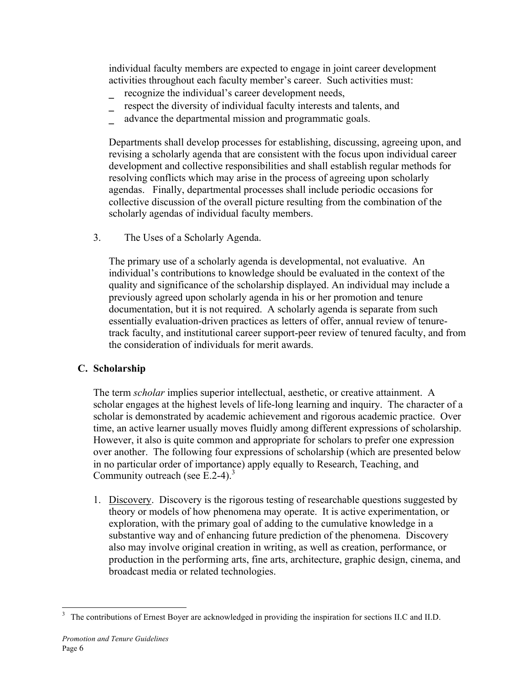individual faculty members are expected to engage in joint career development activities throughout each faculty member's career. Such activities must:

- recognize the individual's career development needs,
- respect the diversity of individual faculty interests and talents, and
- \_ advance the departmental mission and programmatic goals.

Departments shall develop processes for establishing, discussing, agreeing upon, and revising a scholarly agenda that are consistent with the focus upon individual career development and collective responsibilities and shall establish regular methods for resolving conflicts which may arise in the process of agreeing upon scholarly agendas. Finally, departmental processes shall include periodic occasions for collective discussion of the overall picture resulting from the combination of the scholarly agendas of individual faculty members.

3. The Uses of a Scholarly Agenda.

The primary use of a scholarly agenda is developmental, not evaluative. An individual's contributions to knowledge should be evaluated in the context of the quality and significance of the scholarship displayed. An individual may include a previously agreed upon scholarly agenda in his or her promotion and tenure documentation, but it is not required. A scholarly agenda is separate from such essentially evaluation-driven practices as letters of offer, annual review of tenuretrack faculty, and institutional career support-peer review of tenured faculty, and from the consideration of individuals for merit awards.

## **C. Scholarship**

The term *scholar* implies superior intellectual, aesthetic, or creative attainment. A scholar engages at the highest levels of life-long learning and inquiry. The character of a scholar is demonstrated by academic achievement and rigorous academic practice. Over time, an active learner usually moves fluidly among different expressions of scholarship. However, it also is quite common and appropriate for scholars to prefer one expression over another. The following four expressions of scholarship (which are presented below in no particular order of importance) apply equally to Research, Teaching, and Community outreach (see E.2-4).<sup>3</sup>

1. Discovery. Discovery is the rigorous testing of researchable questions suggested by theory or models of how phenomena may operate. It is active experimentation, or exploration, with the primary goal of adding to the cumulative knowledge in a substantive way and of enhancing future prediction of the phenomena. Discovery also may involve original creation in writing, as well as creation, performance, or production in the performing arts, fine arts, architecture, graphic design, cinema, and broadcast media or related technologies.

 <sup>3</sup> The contributions of Ernest Boyer are acknowledged in providing the inspiration for sections II.C and II.D.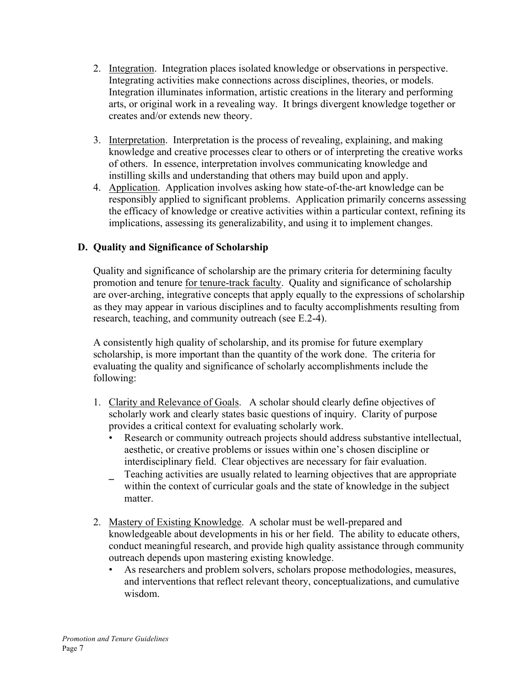- 2. Integration. Integration places isolated knowledge or observations in perspective. Integrating activities make connections across disciplines, theories, or models. Integration illuminates information, artistic creations in the literary and performing arts, or original work in a revealing way. It brings divergent knowledge together or creates and/or extends new theory.
- 3. Interpretation. Interpretation is the process of revealing, explaining, and making knowledge and creative processes clear to others or of interpreting the creative works of others. In essence, interpretation involves communicating knowledge and instilling skills and understanding that others may build upon and apply.
- 4. Application. Application involves asking how state-of-the-art knowledge can be responsibly applied to significant problems. Application primarily concerns assessing the efficacy of knowledge or creative activities within a particular context, refining its implications, assessing its generalizability, and using it to implement changes.

## **D. Quality and Significance of Scholarship**

Quality and significance of scholarship are the primary criteria for determining faculty promotion and tenure for tenure-track faculty. Quality and significance of scholarship are over-arching, integrative concepts that apply equally to the expressions of scholarship as they may appear in various disciplines and to faculty accomplishments resulting from research, teaching, and community outreach (see E.2-4).

A consistently high quality of scholarship, and its promise for future exemplary scholarship, is more important than the quantity of the work done. The criteria for evaluating the quality and significance of scholarly accomplishments include the following:

- 1. Clarity and Relevance of Goals. A scholar should clearly define objectives of scholarly work and clearly states basic questions of inquiry. Clarity of purpose provides a critical context for evaluating scholarly work.
	- Research or community outreach projects should address substantive intellectual, aesthetic, or creative problems or issues within one's chosen discipline or interdisciplinary field. Clear objectives are necessary for fair evaluation.
	- \_ Teaching activities are usually related to learning objectives that are appropriate within the context of curricular goals and the state of knowledge in the subject matter.
- 2. Mastery of Existing Knowledge. A scholar must be well-prepared and knowledgeable about developments in his or her field. The ability to educate others, conduct meaningful research, and provide high quality assistance through community outreach depends upon mastering existing knowledge.
	- As researchers and problem solvers, scholars propose methodologies, measures, and interventions that reflect relevant theory, conceptualizations, and cumulative wisdom.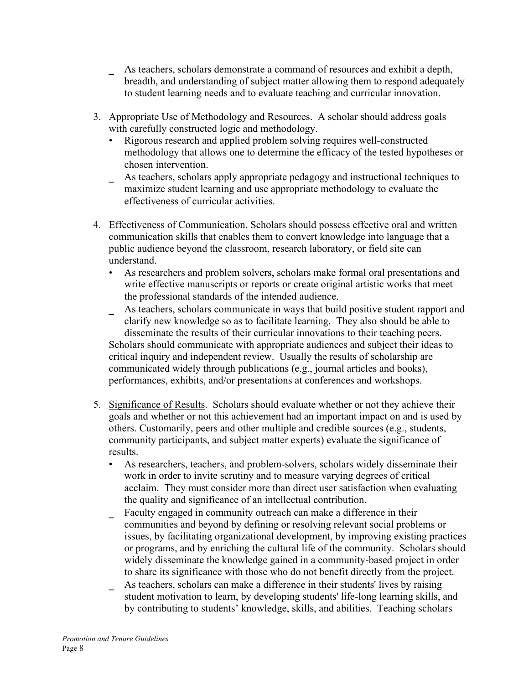- As teachers, scholars demonstrate a command of resources and exhibit a depth, breadth, and understanding of subject matter allowing them to respond adequately to student learning needs and to evaluate teaching and curricular innovation.
- 3. Appropriate Use of Methodology and Resources. A scholar should address goals with carefully constructed logic and methodology.
	- Rigorous research and applied problem solving requires well-constructed methodology that allows one to determine the efficacy of the tested hypotheses or chosen intervention.
	- As teachers, scholars apply appropriate pedagogy and instructional techniques to maximize student learning and use appropriate methodology to evaluate the effectiveness of curricular activities.
- 4. Effectiveness of Communication. Scholars should possess effective oral and written communication skills that enables them to convert knowledge into language that a public audience beyond the classroom, research laboratory, or field site can understand.
	- As researchers and problem solvers, scholars make formal oral presentations and write effective manuscripts or reports or create original artistic works that meet the professional standards of the intended audience.
		- As teachers, scholars communicate in ways that build positive student rapport and

clarify new knowledge so as to facilitate learning. They also should be able to disseminate the results of their curricular innovations to their teaching peers. Scholars should communicate with appropriate audiences and subject their ideas to critical inquiry and independent review. Usually the results of scholarship are communicated widely through publications (e.g., journal articles and books), performances, exhibits, and/or presentations at conferences and workshops.

- 5. Significance of Results. Scholars should evaluate whether or not they achieve their goals and whether or not this achievement had an important impact on and is used by others. Customarily, peers and other multiple and credible sources (e.g., students, community participants, and subject matter experts) evaluate the significance of results.
	- As researchers, teachers, and problem-solvers, scholars widely disseminate their work in order to invite scrutiny and to measure varying degrees of critical acclaim. They must consider more than direct user satisfaction when evaluating the quality and significance of an intellectual contribution.
	- \_ Faculty engaged in community outreach can make a difference in their communities and beyond by defining or resolving relevant social problems or issues, by facilitating organizational development, by improving existing practices or programs, and by enriching the cultural life of the community. Scholars should widely disseminate the knowledge gained in a community-based project in order to share its significance with those who do not benefit directly from the project.
	- \_ As teachers, scholars can make a difference in their students' lives by raising student motivation to learn, by developing students' life-long learning skills, and by contributing to students' knowledge, skills, and abilities. Teaching scholars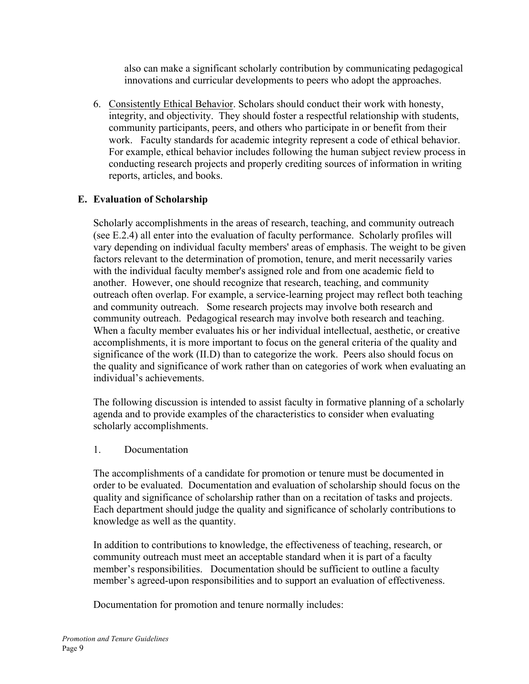also can make a significant scholarly contribution by communicating pedagogical innovations and curricular developments to peers who adopt the approaches.

6. Consistently Ethical Behavior. Scholars should conduct their work with honesty, integrity, and objectivity. They should foster a respectful relationship with students, community participants, peers, and others who participate in or benefit from their work. Faculty standards for academic integrity represent a code of ethical behavior. For example, ethical behavior includes following the human subject review process in conducting research projects and properly crediting sources of information in writing reports, articles, and books.

## **E. Evaluation of Scholarship**

Scholarly accomplishments in the areas of research, teaching, and community outreach (see E.2.4) all enter into the evaluation of faculty performance. Scholarly profiles will vary depending on individual faculty members' areas of emphasis. The weight to be given factors relevant to the determination of promotion, tenure, and merit necessarily varies with the individual faculty member's assigned role and from one academic field to another. However, one should recognize that research, teaching, and community outreach often overlap. For example, a service-learning project may reflect both teaching and community outreach. Some research projects may involve both research and community outreach. Pedagogical research may involve both research and teaching. When a faculty member evaluates his or her individual intellectual, aesthetic, or creative accomplishments, it is more important to focus on the general criteria of the quality and significance of the work (II.D) than to categorize the work. Peers also should focus on the quality and significance of work rather than on categories of work when evaluating an individual's achievements.

The following discussion is intended to assist faculty in formative planning of a scholarly agenda and to provide examples of the characteristics to consider when evaluating scholarly accomplishments.

1. Documentation

The accomplishments of a candidate for promotion or tenure must be documented in order to be evaluated. Documentation and evaluation of scholarship should focus on the quality and significance of scholarship rather than on a recitation of tasks and projects. Each department should judge the quality and significance of scholarly contributions to knowledge as well as the quantity.

In addition to contributions to knowledge, the effectiveness of teaching, research, or community outreach must meet an acceptable standard when it is part of a faculty member's responsibilities. Documentation should be sufficient to outline a faculty member's agreed-upon responsibilities and to support an evaluation of effectiveness.

Documentation for promotion and tenure normally includes: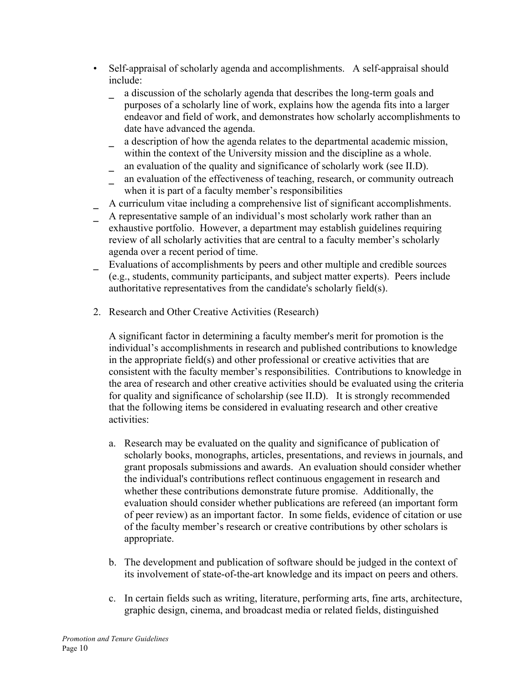- Self-appraisal of scholarly agenda and accomplishments. A self-appraisal should include:
	- \_ a discussion of the scholarly agenda that describes the long-term goals and purposes of a scholarly line of work, explains how the agenda fits into a larger endeavor and field of work, and demonstrates how scholarly accomplishments to date have advanced the agenda.
	- a description of how the agenda relates to the departmental academic mission, within the context of the University mission and the discipline as a whole.
	- \_ an evaluation of the quality and significance of scholarly work (see II.D).
	- an evaluation of the effectiveness of teaching, research, or community outreach when it is part of a faculty member's responsibilities
- \_ A curriculum vitae including a comprehensive list of significant accomplishments.
- \_ A representative sample of an individual's most scholarly work rather than an exhaustive portfolio. However, a department may establish guidelines requiring review of all scholarly activities that are central to a faculty member's scholarly agenda over a recent period of time.
- Evaluations of accomplishments by peers and other multiple and credible sources (e.g., students, community participants, and subject matter experts). Peers include authoritative representatives from the candidate's scholarly field(s).
- 2. Research and Other Creative Activities (Research)

A significant factor in determining a faculty member's merit for promotion is the individual's accomplishments in research and published contributions to knowledge in the appropriate field(s) and other professional or creative activities that are consistent with the faculty member's responsibilities. Contributions to knowledge in the area of research and other creative activities should be evaluated using the criteria for quality and significance of scholarship (see II.D).It is strongly recommended that the following items be considered in evaluating research and other creative activities:

- a. Research may be evaluated on the quality and significance of publication of scholarly books, monographs, articles, presentations, and reviews in journals, and grant proposals submissions and awards. An evaluation should consider whether the individual's contributions reflect continuous engagement in research and whether these contributions demonstrate future promise. Additionally, the evaluation should consider whether publications are refereed (an important form of peer review) as an important factor. In some fields, evidence of citation or use of the faculty member's research or creative contributions by other scholars is appropriate.
- b. The development and publication of software should be judged in the context of its involvement of state-of-the-art knowledge and its impact on peers and others.
- c. In certain fields such as writing, literature, performing arts, fine arts, architecture, graphic design, cinema, and broadcast media or related fields, distinguished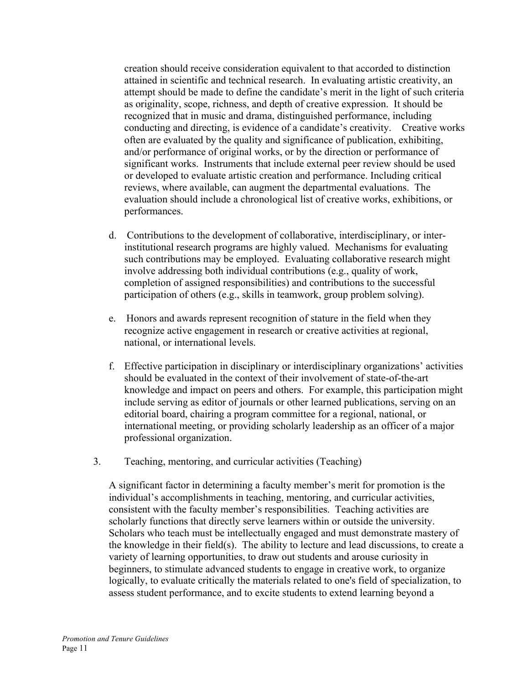creation should receive consideration equivalent to that accorded to distinction attained in scientific and technical research. In evaluating artistic creativity, an attempt should be made to define the candidate's merit in the light of such criteria as originality, scope, richness, and depth of creative expression. It should be recognized that in music and drama, distinguished performance, including conducting and directing, is evidence of a candidate's creativity. Creative works often are evaluated by the quality and significance of publication, exhibiting, and/or performance of original works, or by the direction or performance of significant works. Instruments that include external peer review should be used or developed to evaluate artistic creation and performance. Including critical reviews, where available, can augment the departmental evaluations. The evaluation should include a chronological list of creative works, exhibitions, or performances.

- d. Contributions to the development of collaborative, interdisciplinary, or interinstitutional research programs are highly valued. Mechanisms for evaluating such contributions may be employed. Evaluating collaborative research might involve addressing both individual contributions (e.g., quality of work, completion of assigned responsibilities) and contributions to the successful participation of others (e.g., skills in teamwork, group problem solving).
- e. Honors and awards represent recognition of stature in the field when they recognize active engagement in research or creative activities at regional, national, or international levels.
- f. Effective participation in disciplinary or interdisciplinary organizations' activities should be evaluated in the context of their involvement of state-of-the-art knowledge and impact on peers and others. For example, this participation might include serving as editor of journals or other learned publications, serving on an editorial board, chairing a program committee for a regional, national, or international meeting, or providing scholarly leadership as an officer of a major professional organization.
- 3. Teaching, mentoring, and curricular activities (Teaching)

A significant factor in determining a faculty member's merit for promotion is the individual's accomplishments in teaching, mentoring, and curricular activities, consistent with the faculty member's responsibilities. Teaching activities are scholarly functions that directly serve learners within or outside the university. Scholars who teach must be intellectually engaged and must demonstrate mastery of the knowledge in their field(s). The ability to lecture and lead discussions, to create a variety of learning opportunities, to draw out students and arouse curiosity in beginners, to stimulate advanced students to engage in creative work, to organize logically, to evaluate critically the materials related to one's field of specialization, to assess student performance, and to excite students to extend learning beyond a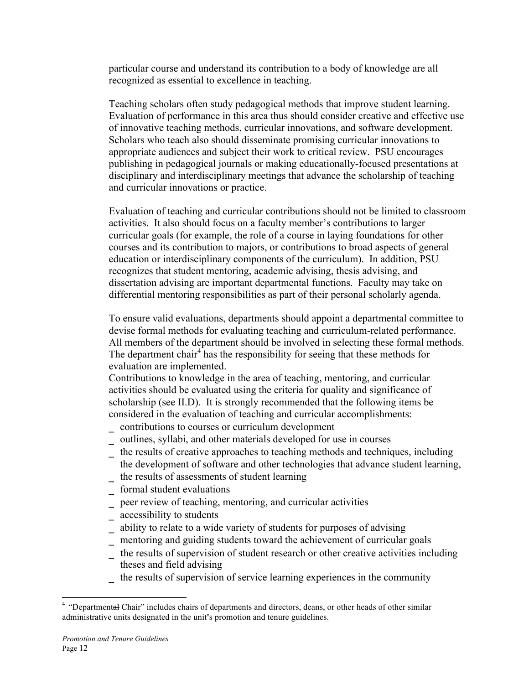particular course and understand its contribution to a body of knowledge are all recognized as essential to excellence in teaching.

Teaching scholars often study pedagogical methods that improve student learning. Evaluation of performance in this area thus should consider creative and effective use of innovative teaching methods, curricular innovations, and software development. Scholars who teach also should disseminate promising curricular innovations to appropriate audiences and subject their work to critical review. PSU encourages publishing in pedagogical journals or making educationally-focused presentations at disciplinary and interdisciplinary meetings that advance the scholarship of teaching and curricular innovations or practice.

Evaluation of teaching and curricular contributions should not be limited to classroom activities. It also should focus on a faculty member's contributions to larger curricular goals (for example, the role of a course in laying foundations for other courses and its contribution to majors, or contributions to broad aspects of general education or interdisciplinary components of the curriculum). In addition, PSU recognizes that student mentoring, academic advising, thesis advising, and dissertation advising are important departmental functions. Faculty may take on differential mentoring responsibilities as part of their personal scholarly agenda.

To ensure valid evaluations, departments should appoint a departmental committee to devise formal methods for evaluating teaching and curriculum-related performance. All members of the department should be involved in selecting these formal methods. The department chair<sup>4</sup> has the responsibility for seeing that these methods for evaluation are implemented.

Contributions to knowledge in the area of teaching, mentoring, and curricular activities should be evaluated using the criteria for quality and significance of scholarship (see II.D).It is strongly recommended that the following items be considered in the evaluation of teaching and curricular accomplishments:

- \_ contributions to courses or curriculum development
- \_ outlines, syllabi, and other materials developed for use in courses
- \_ the results of creative approaches to teaching methods and techniques, including the development of software and other technologies that advance student learning,
- \_ the results of assessments of student learning
- \_ formal student evaluations
- \_ peer review of teaching, mentoring, and curricular activities
- \_ accessibility to students
- \_ ability to relate to a wide variety of students for purposes of advising
- \_ mentoring and guiding students toward the achievement of curricular goals
- \_ **t**he results of supervision of student research or other creative activities including theses and field advising
- \_ the results of supervision of service learning experiences in the community

<sup>&</sup>lt;sup>4</sup> "Departmental Chair" includes chairs of departments and directors, deans, or other heads of other similar administrative units designated in the unit**'**s promotion and tenure guidelines.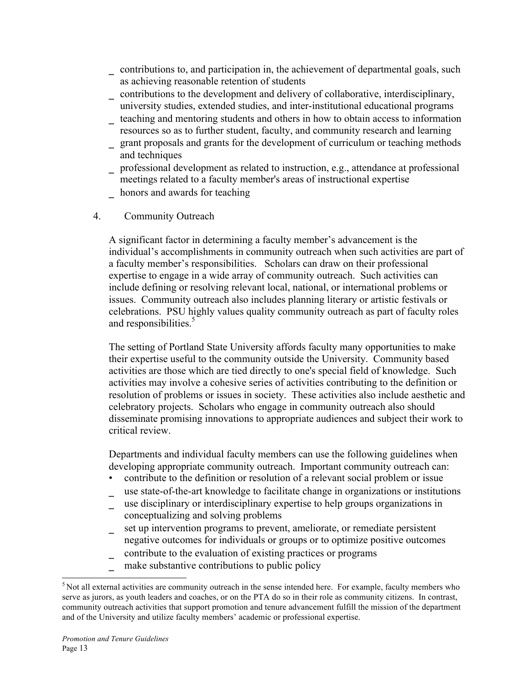- \_ contributions to, and participation in, the achievement of departmental goals, such as achieving reasonable retention of students
- \_ contributions to the development and delivery of collaborative, interdisciplinary, university studies, extended studies, and inter-institutional educational programs
- \_ teaching and mentoring students and others in how to obtain access to information resources so as to further student, faculty, and community research and learning
- \_ grant proposals and grants for the development of curriculum or teaching methods and techniques
- \_ professional development as related to instruction, e.g., attendance at professional meetings related to a faculty member's areas of instructional expertise
- honors and awards for teaching
- 4. Community Outreach

A significant factor in determining a faculty member's advancement is the individual's accomplishments in community outreach when such activities are part of a faculty member's responsibilities. Scholars can draw on their professional expertise to engage in a wide array of community outreach. Such activities can include defining or resolving relevant local, national, or international problems or issues. Community outreach also includes planning literary or artistic festivals or celebrations. PSU highly values quality community outreach as part of faculty roles and responsibilities.<sup>5</sup>

The setting of Portland State University affords faculty many opportunities to make their expertise useful to the community outside the University. Community based activities are those which are tied directly to one's special field of knowledge. Such activities may involve a cohesive series of activities contributing to the definition or resolution of problems or issues in society. These activities also include aesthetic and celebratory projects. Scholars who engage in community outreach also should disseminate promising innovations to appropriate audiences and subject their work to critical review.

Departments and individual faculty members can use the following guidelines when developing appropriate community outreach. Important community outreach can:

- contribute to the definition or resolution of a relevant social problem or issue
- use state-of-the-art knowledge to facilitate change in organizations or institutions
- \_ use disciplinary or interdisciplinary expertise to help groups organizations in conceptualizing and solving problems
- \_ set up intervention programs to prevent, ameliorate, or remediate persistent negative outcomes for individuals or groups or to optimize positive outcomes contribute to the evaluation of existing practices or programs
- make substantive contributions to public policy

 <sup>5</sup> Not all external activities are community outreach in the sense intended here.For example, faculty members who serve as jurors, as youth leaders and coaches, or on the PTA do so in their role as community citizens. In contrast, community outreach activities that support promotion and tenure advancement fulfill the mission of the department and of the University and utilize faculty members' academic or professional expertise.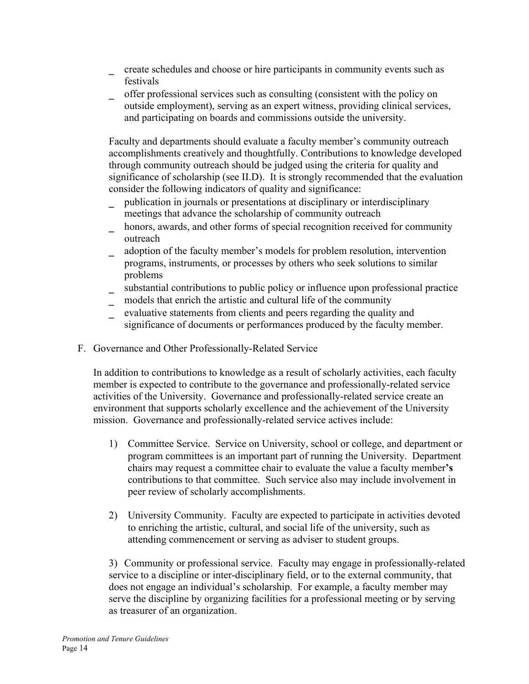- \_ create schedules and choose or hire participants in community events such as festivals
- \_ offer professional services such as consulting (consistent with the policy on outside employment), serving as an expert witness, providing clinical services, and participating on boards and commissions outside the university.

Faculty and departments should evaluate a faculty member's community outreach accomplishments creatively and thoughtfully. Contributions to knowledge developed through community outreach should be judged using the criteria for quality and significance of scholarship (see II.D). It is strongly recommended that the evaluation consider the following indicators of quality and significance:

- \_ publication in journals or presentations at disciplinary or interdisciplinary meetings that advance the scholarship of community outreach
- honors, awards, and other forms of special recognition received for community outreach
- \_ adoption of the faculty member's models for problem resolution, intervention programs, instruments, or processes by others who seek solutions to similar problems
- \_ substantial contributions to public policy or influence upon professional practice
- \_ models that enrich the artistic and cultural life of the community
- \_ evaluative statements from clients and peers regarding the quality and significance of documents or performances produced by the faculty member.
- F. Governance and Other Professionally-Related Service

In addition to contributions to knowledge as a result of scholarly activities, each faculty member is expected to contribute to the governance and professionally-related service activities of the University. Governance and professionally-related service create an environment that supports scholarly excellence and the achievement of the University mission. Governance and professionally-related service actives include:

- 1) Committee Service. Service on University, school or college, and department or program committees is an important part of running the University. Department chairs may request a committee chair to evaluate the value a faculty member**'s**  contributions to that committee. Such service also may include involvement in peer review of scholarly accomplishments.
- 2) University Community. Faculty are expected to participate in activities devoted to enriching the artistic, cultural, and social life of the university, such as attending commencement or serving as adviser to student groups.

3) Community or professional service. Faculty may engage in professionally-related service to a discipline or inter-disciplinary field, or to the external community, that does not engage an individual's scholarship. For example, a faculty member may serve the discipline by organizing facilities for a professional meeting or by serving as treasurer of an organization.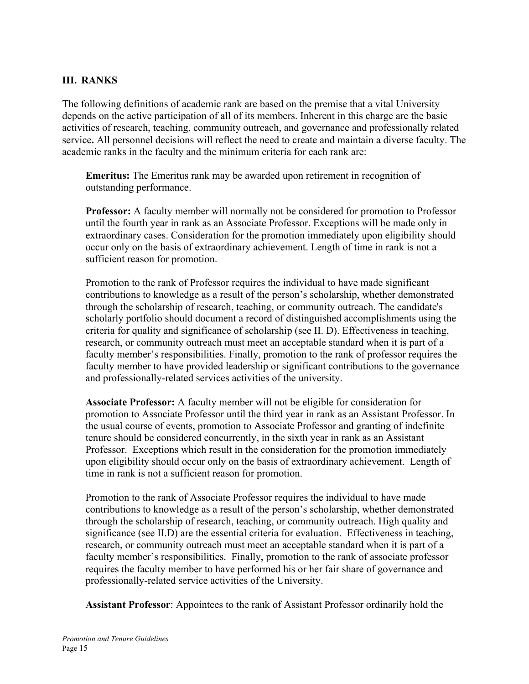### **III. RANKS**

The following definitions of academic rank are based on the premise that a vital University depends on the active participation of all of its members. Inherent in this charge are the basic activities of research, teaching, community outreach, and governance and professionally related service**.** All personnel decisions will reflect the need to create and maintain a diverse faculty. The academic ranks in the faculty and the minimum criteria for each rank are:

**Emeritus:** The Emeritus rank may be awarded upon retirement in recognition of outstanding performance.

**Professor:** A faculty member will normally not be considered for promotion to Professor until the fourth year in rank as an Associate Professor. Exceptions will be made only in extraordinary cases. Consideration for the promotion immediately upon eligibility should occur only on the basis of extraordinary achievement. Length of time in rank is not a sufficient reason for promotion.

Promotion to the rank of Professor requires the individual to have made significant contributions to knowledge as a result of the person's scholarship, whether demonstrated through the scholarship of research, teaching, or community outreach. The candidate's scholarly portfolio should document a record of distinguished accomplishments using the criteria for quality and significance of scholarship (see II. D). Effectiveness in teaching, research, or community outreach must meet an acceptable standard when it is part of a faculty member's responsibilities. Finally, promotion to the rank of professor requires the faculty member to have provided leadership or significant contributions to the governance and professionally-related services activities of the university.

**Associate Professor:** A faculty member will not be eligible for consideration for promotion to Associate Professor until the third year in rank as an Assistant Professor. In the usual course of events, promotion to Associate Professor and granting of indefinite tenure should be considered concurrently, in the sixth year in rank as an Assistant Professor. Exceptions which result in the consideration for the promotion immediately upon eligibility should occur only on the basis of extraordinary achievement. Length of time in rank is not a sufficient reason for promotion.

Promotion to the rank of Associate Professor requires the individual to have made contributions to knowledge as a result of the person's scholarship, whether demonstrated through the scholarship of research, teaching, or community outreach. High quality and significance (see II.D) are the essential criteria for evaluation. Effectiveness in teaching, research, or community outreach must meet an acceptable standard when it is part of a faculty member's responsibilities. Finally, promotion to the rank of associate professor requires the faculty member to have performed his or her fair share of governance and professionally-related service activities of the University.

**Assistant Professor**: Appointees to the rank of Assistant Professor ordinarily hold the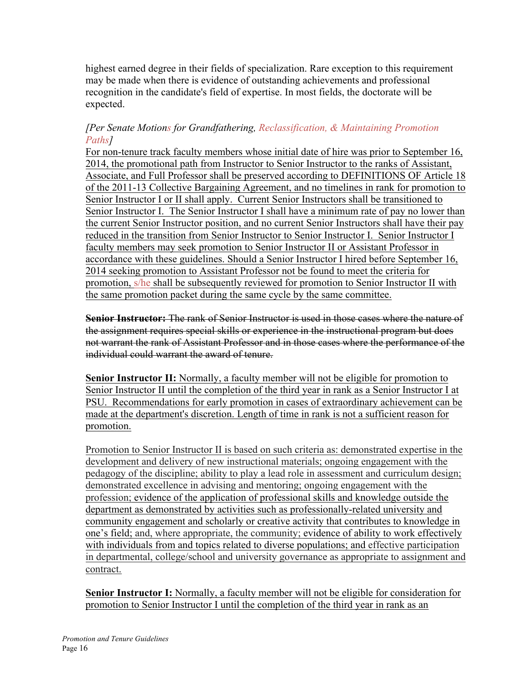highest earned degree in their fields of specialization. Rare exception to this requirement may be made when there is evidence of outstanding achievements and professional recognition in the candidate's field of expertise. In most fields, the doctorate will be expected.

## *[Per Senate Motions for Grandfathering, Reclassification, & Maintaining Promotion Paths]*

For non-tenure track faculty members whose initial date of hire was prior to September 16, 2014, the promotional path from Instructor to Senior Instructor to the ranks of Assistant, Associate, and Full Professor shall be preserved according to DEFINITIONS OF Article 18 of the 2011-13 Collective Bargaining Agreement, and no timelines in rank for promotion to Senior Instructor I or II shall apply. Current Senior Instructors shall be transitioned to Senior Instructor I. The Senior Instructor I shall have a minimum rate of pay no lower than the current Senior Instructor position, and no current Senior Instructors shall have their pay reduced in the transition from Senior Instructor to Senior Instructor I. Senior Instructor I faculty members may seek promotion to Senior Instructor II or Assistant Professor in accordance with these guidelines. Should a Senior Instructor I hired before September 16, 2014 seeking promotion to Assistant Professor not be found to meet the criteria for promotion, s/he shall be subsequently reviewed for promotion to Senior Instructor II with the same promotion packet during the same cycle by the same committee.

**Senior Instructor:** The rank of Senior Instructor is used in those cases where the nature of the assignment requires special skills or experience in the instructional program but does not warrant the rank of Assistant Professor and in those cases where the performance of the individual could warrant the award of tenure.

**Senior Instructor II:** Normally, a faculty member will not be eligible for promotion to Senior Instructor II until the completion of the third year in rank as a Senior Instructor I at PSU. Recommendations for early promotion in cases of extraordinary achievement can be made at the department's discretion. Length of time in rank is not a sufficient reason for promotion.

Promotion to Senior Instructor II is based on such criteria as: demonstrated expertise in the development and delivery of new instructional materials; ongoing engagement with the pedagogy of the discipline; ability to play a lead role in assessment and curriculum design; demonstrated excellence in advising and mentoring; ongoing engagement with the profession; evidence of the application of professional skills and knowledge outside the department as demonstrated by activities such as professionally-related university and community engagement and scholarly or creative activity that contributes to knowledge in one's field; and, where appropriate, the community; evidence of ability to work effectively with individuals from and topics related to diverse populations; and effective participation in departmental, college/school and university governance as appropriate to assignment and contract.

**Senior Instructor I:** Normally, a faculty member will not be eligible for consideration for promotion to Senior Instructor I until the completion of the third year in rank as an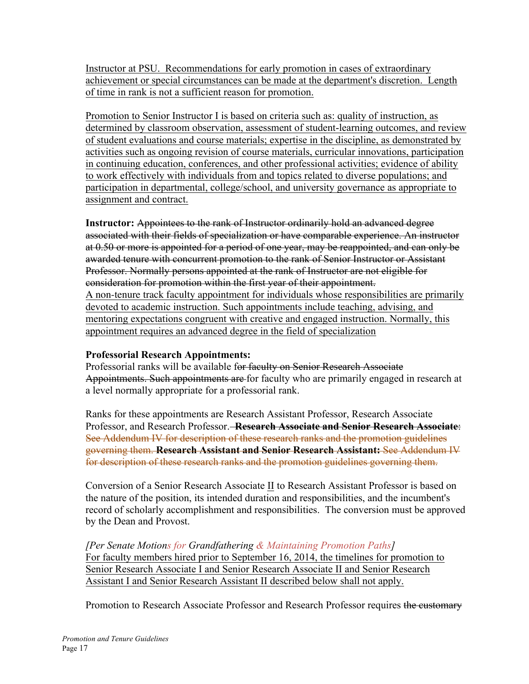Instructor at PSU. Recommendations for early promotion in cases of extraordinary achievement or special circumstances can be made at the department's discretion. Length of time in rank is not a sufficient reason for promotion.

Promotion to Senior Instructor I is based on criteria such as: quality of instruction, as determined by classroom observation, assessment of student-learning outcomes, and review of student evaluations and course materials; expertise in the discipline, as demonstrated by activities such as ongoing revision of course materials, curricular innovations, participation in continuing education, conferences, and other professional activities; evidence of ability to work effectively with individuals from and topics related to diverse populations; and participation in departmental, college/school, and university governance as appropriate to assignment and contract.

**Instructor:** Appointees to the rank of Instructor ordinarily hold an advanced degree associated with their fields of specialization or have comparable experience. An instructor at 0.50 or more is appointed for a period of one year, may be reappointed, and can only be awarded tenure with concurrent promotion to the rank of Senior Instructor or Assistant Professor. Normally persons appointed at the rank of Instructor are not eligible for consideration for promotion within the first year of their appointment. A non-tenure track faculty appointment for individuals whose responsibilities are primarily devoted to academic instruction. Such appointments include teaching, advising, and mentoring expectations congruent with creative and engaged instruction. Normally, this appointment requires an advanced degree in the field of specialization

## **Professorial Research Appointments:**

Professorial ranks will be available for faculty on Senior Research Associate Appointments. Such appointments are for faculty who are primarily engaged in research at a level normally appropriate for a professorial rank.

Ranks for these appointments are Research Assistant Professor, Research Associate Professor, and Research Professor. **Research Associate and Senior Research Associate**: See Addendum IV for description of these research ranks and the promotion guidelines governing them. **Research Assistant and Senior Research Assistant:** See Addendum IV for description of these research ranks and the promotion guidelines governing them.

Conversion of a Senior Research Associate II to Research Assistant Professor is based on the nature of the position, its intended duration and responsibilities, and the incumbent's record of scholarly accomplishment and responsibilities. The conversion must be approved by the Dean and Provost.

*[Per Senate Motions for Grandfathering & Maintaining Promotion Paths]*  For faculty members hired prior to September 16, 2014, the timelines for promotion to Senior Research Associate I and Senior Research Associate II and Senior Research Assistant I and Senior Research Assistant II described below shall not apply.

Promotion to Research Associate Professor and Research Professor requires the customary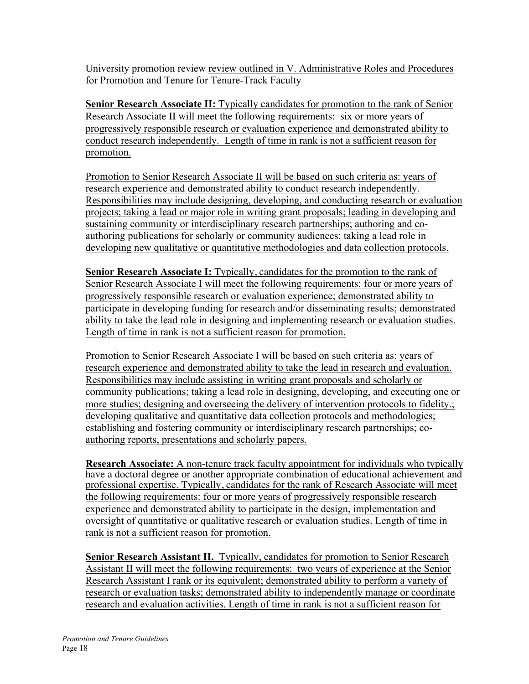University promotion review review outlined in V. Administrative Roles and Procedures for Promotion and Tenure for Tenure-Track Faculty

**Senior Research Associate II:** Typically candidates for promotion to the rank of Senior Research Associate II will meet the following requirements: six or more years of progressively responsible research or evaluation experience and demonstrated ability to conduct research independently. Length of time in rank is not a sufficient reason for promotion.

Promotion to Senior Research Associate II will be based on such criteria as: years of research experience and demonstrated ability to conduct research independently. Responsibilities may include designing, developing, and conducting research or evaluation projects; taking a lead or major role in writing grant proposals; leading in developing and sustaining community or interdisciplinary research partnerships; authoring and coauthoring publications for scholarly or community audiences; taking a lead role in developing new qualitative or quantitative methodologies and data collection protocols.

**Senior Research Associate I:** Typically, candidates for the promotion to the rank of Senior Research Associate I will meet the following requirements: four or more years of progressively responsible research or evaluation experience; demonstrated ability to participate in developing funding for research and/or disseminating results; demonstrated ability to take the lead role in designing and implementing research or evaluation studies. Length of time in rank is not a sufficient reason for promotion.

Promotion to Senior Research Associate I will be based on such criteria as: years of research experience and demonstrated ability to take the lead in research and evaluation. Responsibilities may include assisting in writing grant proposals and scholarly or community publications; taking a lead role in designing, developing, and executing one or more studies; designing and overseeing the delivery of intervention protocols to fidelity.; developing qualitative and quantitative data collection protocols and methodologies; establishing and fostering community or interdisciplinary research partnerships; coauthoring reports, presentations and scholarly papers.

**Research Associate:** A non-tenure track faculty appointment for individuals who typically have a doctoral degree or another appropriate combination of educational achievement and professional expertise. Typically, candidates for the rank of Research Associate will meet the following requirements: four or more years of progressively responsible research experience and demonstrated ability to participate in the design, implementation and oversight of quantitative or qualitative research or evaluation studies. Length of time in rank is not a sufficient reason for promotion.

**Senior Research Assistant II.** Typically, candidates for promotion to Senior Research Assistant II will meet the following requirements: two years of experience at the Senior Research Assistant I rank or its equivalent; demonstrated ability to perform a variety of research or evaluation tasks; demonstrated ability to independently manage or coordinate research and evaluation activities. Length of time in rank is not a sufficient reason for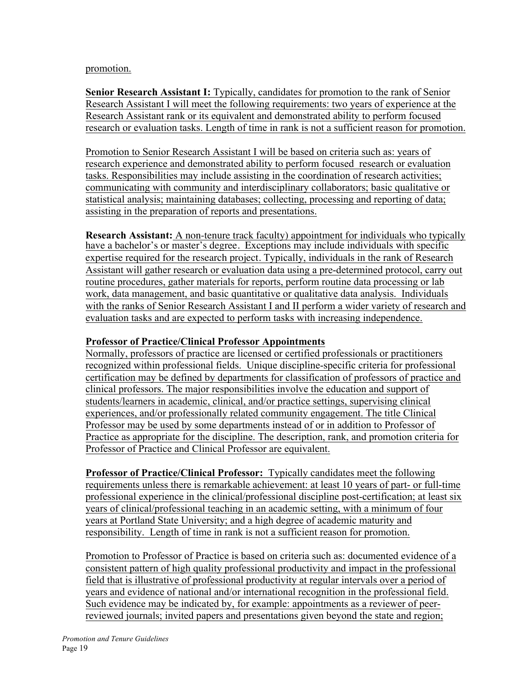#### promotion.

**Senior Research Assistant I:** Typically, candidates for promotion to the rank of Senior Research Assistant I will meet the following requirements: two years of experience at the Research Assistant rank or its equivalent and demonstrated ability to perform focused research or evaluation tasks. Length of time in rank is not a sufficient reason for promotion.

Promotion to Senior Research Assistant I will be based on criteria such as: years of research experience and demonstrated ability to perform focused research or evaluation tasks. Responsibilities may include assisting in the coordination of research activities; communicating with community and interdisciplinary collaborators; basic qualitative or statistical analysis; maintaining databases; collecting, processing and reporting of data; assisting in the preparation of reports and presentations.

**Research Assistant:** A non-tenure track faculty) appointment for individuals who typically have a bachelor's or master's degree. Exceptions may include individuals with specific expertise required for the research project. Typically, individuals in the rank of Research Assistant will gather research or evaluation data using a pre-determined protocol, carry out routine procedures, gather materials for reports, perform routine data processing or lab work, data management, and basic quantitative or qualitative data analysis. Individuals with the ranks of Senior Research Assistant I and II perform a wider variety of research and evaluation tasks and are expected to perform tasks with increasing independence.

## **Professor of Practice/Clinical Professor Appointments**

Normally, professors of practice are licensed or certified professionals or practitioners recognized within professional fields. Unique discipline-specific criteria for professional certification may be defined by departments for classification of professors of practice and clinical professors. The major responsibilities involve the education and support of students/learners in academic, clinical, and/or practice settings, supervising clinical experiences, and/or professionally related community engagement. The title Clinical Professor may be used by some departments instead of or in addition to Professor of Practice as appropriate for the discipline. The description, rank, and promotion criteria for Professor of Practice and Clinical Professor are equivalent.

**Professor of Practice/Clinical Professor:** Typically candidates meet the following requirements unless there is remarkable achievement: at least 10 years of part- or full-time professional experience in the clinical/professional discipline post-certification; at least six years of clinical/professional teaching in an academic setting, with a minimum of four years at Portland State University; and a high degree of academic maturity and responsibility. Length of time in rank is not a sufficient reason for promotion.

Promotion to Professor of Practice is based on criteria such as: documented evidence of a consistent pattern of high quality professional productivity and impact in the professional field that is illustrative of professional productivity at regular intervals over a period of years and evidence of national and/or international recognition in the professional field. Such evidence may be indicated by, for example: appointments as a reviewer of peerreviewed journals; invited papers and presentations given beyond the state and region;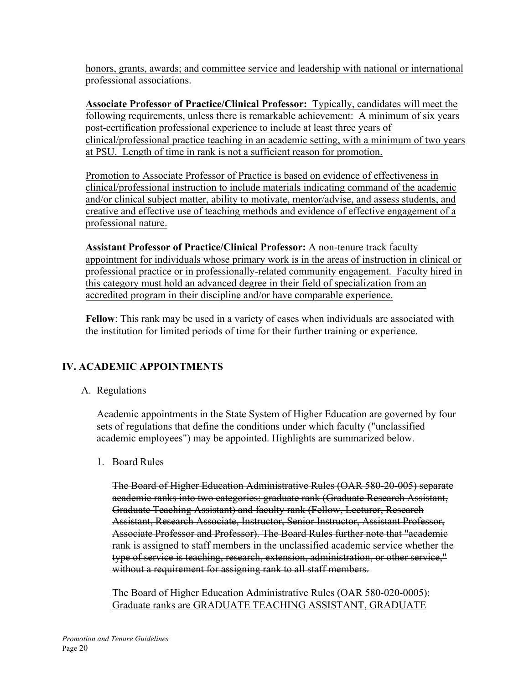honors, grants, awards; and committee service and leadership with national or international professional associations.

**Associate Professor of Practice/Clinical Professor:** Typically, candidates will meet the following requirements, unless there is remarkable achievement: A minimum of six years post-certification professional experience to include at least three years of clinical/professional practice teaching in an academic setting, with a minimum of two years at PSU. Length of time in rank is not a sufficient reason for promotion.

Promotion to Associate Professor of Practice is based on evidence of effectiveness in clinical/professional instruction to include materials indicating command of the academic and/or clinical subject matter, ability to motivate, mentor/advise, and assess students, and creative and effective use of teaching methods and evidence of effective engagement of a professional nature.

**Assistant Professor of Practice/Clinical Professor:** A non-tenure track faculty appointment for individuals whose primary work is in the areas of instruction in clinical or professional practice or in professionally-related community engagement. Faculty hired in this category must hold an advanced degree in their field of specialization from an accredited program in their discipline and/or have comparable experience.

**Fellow**: This rank may be used in a variety of cases when individuals are associated with the institution for limited periods of time for their further training or experience.

# **IV. ACADEMIC APPOINTMENTS**

A. Regulations

Academic appointments in the State System of Higher Education are governed by four sets of regulations that define the conditions under which faculty ("unclassified academic employees") may be appointed. Highlights are summarized below.

1. Board Rules

The Board of Higher Education Administrative Rules (OAR 580-20-005) separate academic ranks into two categories: graduate rank (Graduate Research Assistant, Graduate Teaching Assistant) and faculty rank (Fellow, Lecturer, Research Assistant, Research Associate, Instructor, Senior Instructor, Assistant Professor, Associate Professor and Professor). The Board Rules further note that "academic rank is assigned to staff members in the unclassified academic service whether the type of service is teaching, research, extension, administration, or other service," without a requirement for assigning rank to all staff members.

The Board of Higher Education Administrative Rules (OAR 580-020-0005): Graduate ranks are GRADUATE TEACHING ASSISTANT, GRADUATE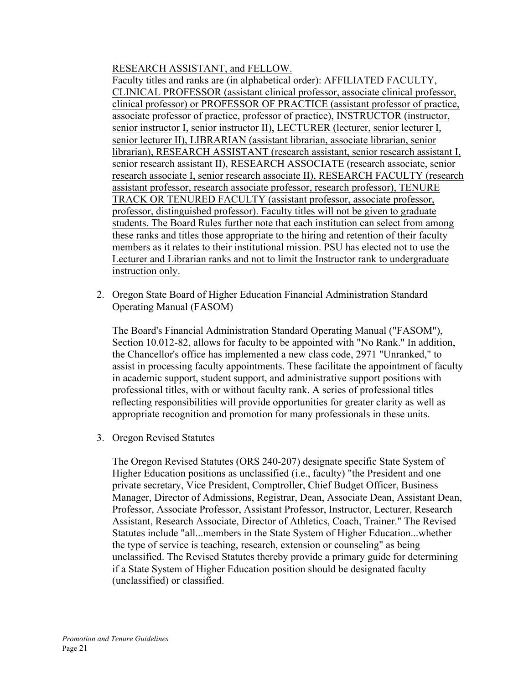### RESEARCH ASSISTANT, and FELLOW.

Faculty titles and ranks are (in alphabetical order): AFFILIATED FACULTY, CLINICAL PROFESSOR (assistant clinical professor, associate clinical professor, clinical professor) or PROFESSOR OF PRACTICE (assistant professor of practice, associate professor of practice, professor of practice), INSTRUCTOR (instructor, senior instructor I, senior instructor II), LECTURER (lecturer, senior lecturer I, senior lecturer II), LIBRARIAN (assistant librarian, associate librarian, senior librarian), RESEARCH ASSISTANT (research assistant, senior research assistant I, senior research assistant II), RESEARCH ASSOCIATE (research associate, senior research associate I, senior research associate II), RESEARCH FACULTY (research assistant professor, research associate professor, research professor), TENURE TRACK OR TENURED FACULTY (assistant professor, associate professor, professor, distinguished professor). Faculty titles will not be given to graduate students. The Board Rules further note that each institution can select from among these ranks and titles those appropriate to the hiring and retention of their faculty members as it relates to their institutional mission. PSU has elected not to use the Lecturer and Librarian ranks and not to limit the Instructor rank to undergraduate instruction only.

2. Oregon State Board of Higher Education Financial Administration Standard Operating Manual (FASOM)

The Board's Financial Administration Standard Operating Manual ("FASOM"), Section 10.012-82, allows for faculty to be appointed with "No Rank." In addition, the Chancellor's office has implemented a new class code, 2971 "Unranked," to assist in processing faculty appointments. These facilitate the appointment of faculty in academic support, student support, and administrative support positions with professional titles, with or without faculty rank. A series of professional titles reflecting responsibilities will provide opportunities for greater clarity as well as appropriate recognition and promotion for many professionals in these units.

3. Oregon Revised Statutes

The Oregon Revised Statutes (ORS 240-207) designate specific State System of Higher Education positions as unclassified (i.e., faculty) "the President and one private secretary, Vice President, Comptroller, Chief Budget Officer, Business Manager, Director of Admissions, Registrar, Dean, Associate Dean, Assistant Dean, Professor, Associate Professor, Assistant Professor, Instructor, Lecturer, Research Assistant, Research Associate, Director of Athletics, Coach, Trainer." The Revised Statutes include "all...members in the State System of Higher Education...whether the type of service is teaching, research, extension or counseling" as being unclassified. The Revised Statutes thereby provide a primary guide for determining if a State System of Higher Education position should be designated faculty (unclassified) or classified.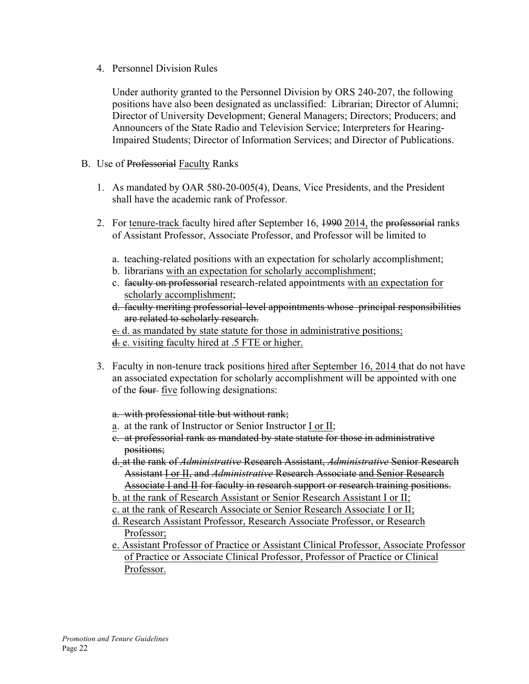4. Personnel Division Rules

Under authority granted to the Personnel Division by ORS 240-207, the following positions have also been designated as unclassified: Librarian; Director of Alumni; Director of University Development; General Managers; Directors; Producers; and Announcers of the State Radio and Television Service; Interpreters for Hearing-Impaired Students; Director of Information Services; and Director of Publications.

- B. Use of Professorial Faculty Ranks
	- 1. As mandated by OAR 580-20-005(4), Deans, Vice Presidents, and the President shall have the academic rank of Professor.
	- 2. For tenure-track faculty hired after September 16, 1990 2014, the professorial ranks of Assistant Professor, Associate Professor, and Professor will be limited to
		- a. teaching-related positions with an expectation for scholarly accomplishment;
		- b. librarians with an expectation for scholarly accomplishment;
		- c. faculty on professorial research-related appointments with an expectation for scholarly accomplishment;
		- d. faculty meriting professorial-level appointments whose principal responsibilities are related to scholarly research.
		- c. d. as mandated by state statute for those in administrative positions;
		- d. e. visiting faculty hired at .5 FTE or higher.
	- 3. Faculty in non-tenure track positions hired after September 16, 2014 that do not have an associated expectation for scholarly accomplishment will be appointed with one of the four-five following designations:
		- a. with professional title but without rank;
		- a. at the rank of Instructor or Senior Instructor I or II;
		- c. at professorial rank as mandated by state statute for those in administrative positions;
		- d. at the rank of *Administrative* Research Assistant, *Administrative* Senior Research Assistant I or II, and *Administrative* Research Associate and Senior Research Associate I and II for faculty in research support or research training positions.
		- b. at the rank of Research Assistant or Senior Research Assistant I or II;
		- c. at the rank of Research Associate or Senior Research Associate I or II;
		- d. Research Assistant Professor, Research Associate Professor, or Research Professor;
		- e. Assistant Professor of Practice or Assistant Clinical Professor, Associate Professor of Practice or Associate Clinical Professor, Professor of Practice or Clinical Professor.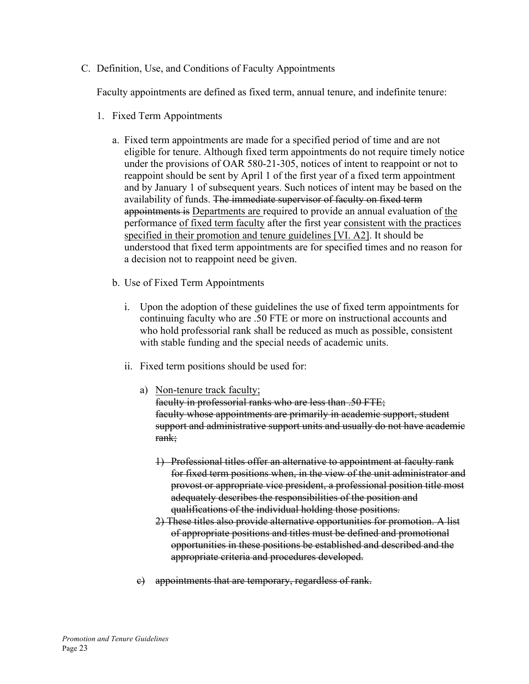C. Definition, Use, and Conditions of Faculty Appointments

Faculty appointments are defined as fixed term, annual tenure, and indefinite tenure:

- 1. Fixed Term Appointments
	- a. Fixed term appointments are made for a specified period of time and are not eligible for tenure. Although fixed term appointments do not require timely notice under the provisions of OAR 580-21-305, notices of intent to reappoint or not to reappoint should be sent by April 1 of the first year of a fixed term appointment and by January 1 of subsequent years. Such notices of intent may be based on the availability of funds. The immediate supervisor of faculty on fixed term **appointments is Departments are required to provide an annual evaluation of the** performance of fixed term faculty after the first year consistent with the practices specified in their promotion and tenure guidelines [VI. A2]. It should be understood that fixed term appointments are for specified times and no reason for a decision not to reappoint need be given.
	- b. Use of Fixed Term Appointments
		- i. Upon the adoption of these guidelines the use of fixed term appointments for continuing faculty who are .50 FTE or more on instructional accounts and who hold professorial rank shall be reduced as much as possible, consistent with stable funding and the special needs of academic units.
		- ii. Fixed term positions should be used for:
			- a) Non-tenure track faculty; faculty in professorial ranks who are less than .50 FTE; faculty whose appointments are primarily in academic support, student support and administrative support units and usually do not have academic rank;
				- 1) Professional titles offer an alternative to appointment at faculty rank for fixed term positions when, in the view of the unit administrator and provost or appropriate vice president, a professional position title most adequately describes the responsibilities of the position and qualifications of the individual holding those positions.
				- 2) These titles also provide alternative opportunities for promotion. A list of appropriate positions and titles must be defined and promotional opportunities in these positions be established and described and the appropriate criteria and procedures developed.
			- c) appointments that are temporary, regardless of rank.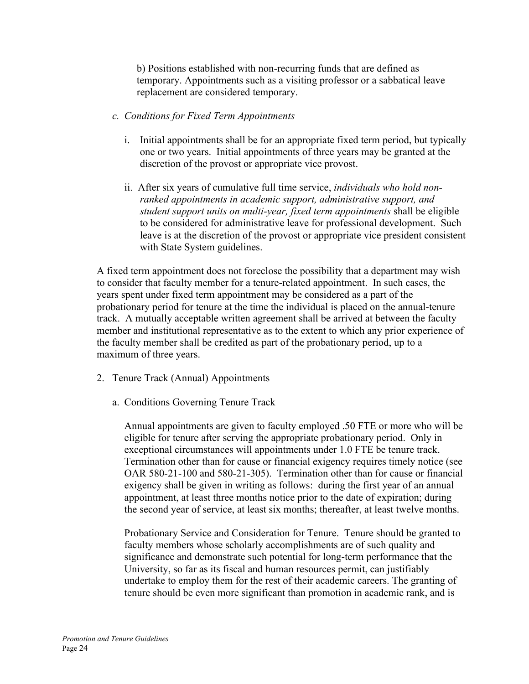b) Positions established with non-recurring funds that are defined as temporary. Appointments such as a visiting professor or a sabbatical leave replacement are considered temporary.

- *c. Conditions for Fixed Term Appointments*
	- i. Initial appointments shall be for an appropriate fixed term period, but typically one or two years. Initial appointments of three years may be granted at the discretion of the provost or appropriate vice provost.
	- ii. After six years of cumulative full time service, *individuals who hold nonranked appointments in academic support, administrative support, and student support units on multi-year, fixed term appointments* shall be eligible to be considered for administrative leave for professional development. Such leave is at the discretion of the provost or appropriate vice president consistent with State System guidelines.

A fixed term appointment does not foreclose the possibility that a department may wish to consider that faculty member for a tenure-related appointment. In such cases, the years spent under fixed term appointment may be considered as a part of the probationary period for tenure at the time the individual is placed on the annual-tenure track. A mutually acceptable written agreement shall be arrived at between the faculty member and institutional representative as to the extent to which any prior experience of the faculty member shall be credited as part of the probationary period, up to a maximum of three years.

- 2. Tenure Track (Annual) Appointments
	- a. Conditions Governing Tenure Track

Annual appointments are given to faculty employed .50 FTE or more who will be eligible for tenure after serving the appropriate probationary period. Only in exceptional circumstances will appointments under 1.0 FTE be tenure track. Termination other than for cause or financial exigency requires timely notice (see OAR 580-21-100 and 580-21-305). Termination other than for cause or financial exigency shall be given in writing as follows: during the first year of an annual appointment, at least three months notice prior to the date of expiration; during the second year of service, at least six months; thereafter, at least twelve months.

Probationary Service and Consideration for Tenure. Tenure should be granted to faculty members whose scholarly accomplishments are of such quality and significance and demonstrate such potential for long-term performance that the University, so far as its fiscal and human resources permit, can justifiably undertake to employ them for the rest of their academic careers. The granting of tenure should be even more significant than promotion in academic rank, and is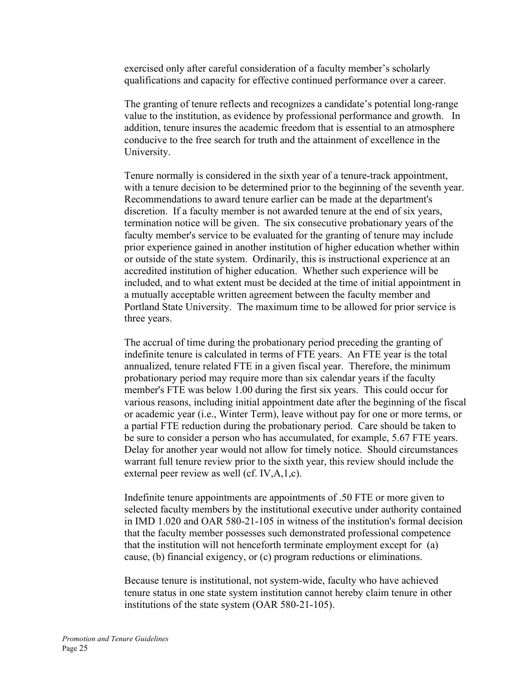exercised only after careful consideration of a faculty member's scholarly qualifications and capacity for effective continued performance over a career.

The granting of tenure reflects and recognizes a candidate's potential long-range value to the institution, as evidence by professional performance and growth. In addition, tenure insures the academic freedom that is essential to an atmosphere conducive to the free search for truth and the attainment of excellence in the University.

Tenure normally is considered in the sixth year of a tenure-track appointment, with a tenure decision to be determined prior to the beginning of the seventh year. Recommendations to award tenure earlier can be made at the department's discretion. If a faculty member is not awarded tenure at the end of six years, termination notice will be given. The six consecutive probationary years of the faculty member's service to be evaluated for the granting of tenure may include prior experience gained in another institution of higher education whether within or outside of the state system. Ordinarily, this is instructional experience at an accredited institution of higher education. Whether such experience will be included, and to what extent must be decided at the time of initial appointment in a mutually acceptable written agreement between the faculty member and Portland State University. The maximum time to be allowed for prior service is three years.

The accrual of time during the probationary period preceding the granting of indefinite tenure is calculated in terms of FTE years. An FTE year is the total annualized, tenure related FTE in a given fiscal year. Therefore, the minimum probationary period may require more than six calendar years if the faculty member's FTE was below 1.00 during the first six years. This could occur for various reasons, including initial appointment date after the beginning of the fiscal or academic year (i.e., Winter Term), leave without pay for one or more terms, or a partial FTE reduction during the probationary period. Care should be taken to be sure to consider a person who has accumulated, for example, 5.67 FTE years. Delay for another year would not allow for timely notice. Should circumstances warrant full tenure review prior to the sixth year, this review should include the external peer review as well (cf. IV,A,1,c).

Indefinite tenure appointments are appointments of .50 FTE or more given to selected faculty members by the institutional executive under authority contained in IMD 1.020 and OAR 580-21-105 in witness of the institution's formal decision that the faculty member possesses such demonstrated professional competence that the institution will not henceforth terminate employment except for (a) cause, (b) financial exigency, or (c) program reductions or eliminations.

Because tenure is institutional, not system-wide, faculty who have achieved tenure status in one state system institution cannot hereby claim tenure in other institutions of the state system (OAR 580-21-105).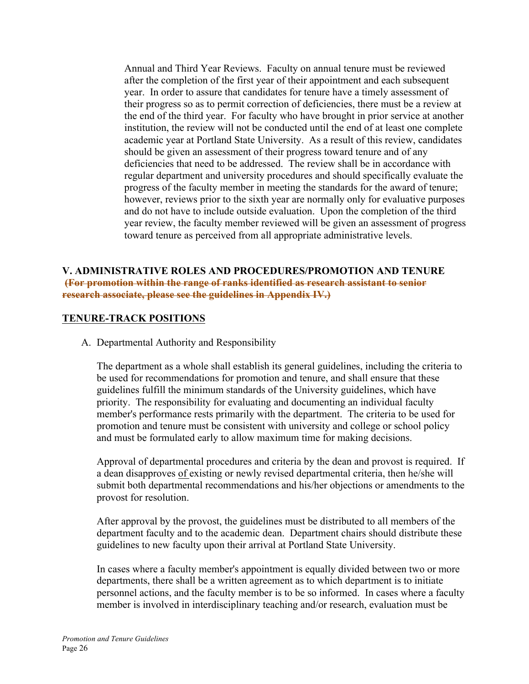Annual and Third Year Reviews. Faculty on annual tenure must be reviewed after the completion of the first year of their appointment and each subsequent year. In order to assure that candidates for tenure have a timely assessment of their progress so as to permit correction of deficiencies, there must be a review at the end of the third year. For faculty who have brought in prior service at another institution, the review will not be conducted until the end of at least one complete academic year at Portland State University. As a result of this review, candidates should be given an assessment of their progress toward tenure and of any deficiencies that need to be addressed. The review shall be in accordance with regular department and university procedures and should specifically evaluate the progress of the faculty member in meeting the standards for the award of tenure; however, reviews prior to the sixth year are normally only for evaluative purposes and do not have to include outside evaluation. Upon the completion of the third year review, the faculty member reviewed will be given an assessment of progress toward tenure as perceived from all appropriate administrative levels.

## **V. ADMINISTRATIVE ROLES AND PROCEDURES/PROMOTION AND TENURE (For promotion within the range of ranks identified as research assistant to senior research associate, please see the guidelines in Appendix IV.)**

## **TENURE-TRACK POSITIONS**

A. Departmental Authority and Responsibility

The department as a whole shall establish its general guidelines, including the criteria to be used for recommendations for promotion and tenure, and shall ensure that these guidelines fulfill the minimum standards of the University guidelines, which have priority. The responsibility for evaluating and documenting an individual faculty member's performance rests primarily with the department. The criteria to be used for promotion and tenure must be consistent with university and college or school policy and must be formulated early to allow maximum time for making decisions.

Approval of departmental procedures and criteria by the dean and provost is required. If a dean disapproves of existing or newly revised departmental criteria, then he/she will submit both departmental recommendations and his/her objections or amendments to the provost for resolution.

After approval by the provost, the guidelines must be distributed to all members of the department faculty and to the academic dean. Department chairs should distribute these guidelines to new faculty upon their arrival at Portland State University.

In cases where a faculty member's appointment is equally divided between two or more departments, there shall be a written agreement as to which department is to initiate personnel actions, and the faculty member is to be so informed. In cases where a faculty member is involved in interdisciplinary teaching and/or research, evaluation must be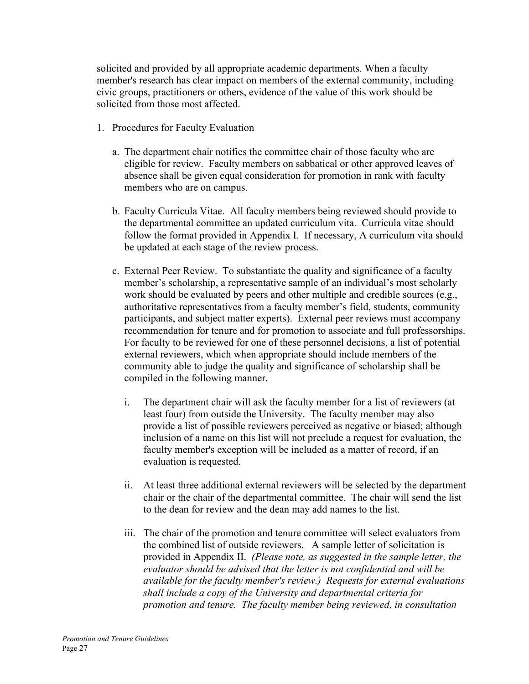solicited and provided by all appropriate academic departments. When a faculty member's research has clear impact on members of the external community, including civic groups, practitioners or others, evidence of the value of this work should be solicited from those most affected.

- 1. Procedures for Faculty Evaluation
	- a. The department chair notifies the committee chair of those faculty who are eligible for review. Faculty members on sabbatical or other approved leaves of absence shall be given equal consideration for promotion in rank with faculty members who are on campus.
	- b. Faculty Curricula Vitae. All faculty members being reviewed should provide to the departmental committee an updated curriculum vita. Curricula vitae should follow the format provided in Appendix I. If necessary, A curriculum vita should be updated at each stage of the review process.
	- c. External Peer Review. To substantiate the quality and significance of a faculty member's scholarship, a representative sample of an individual's most scholarly work should be evaluated by peers and other multiple and credible sources (e.g., authoritative representatives from a faculty member's field, students, community participants, and subject matter experts).External peer reviews must accompany recommendation for tenure and for promotion to associate and full professorships. For faculty to be reviewed for one of these personnel decisions, a list of potential external reviewers, which when appropriate should include members of the community able to judge the quality and significance of scholarship shall be compiled in the following manner.
		- i. The department chair will ask the faculty member for a list of reviewers (at least four) from outside the University. The faculty member may also provide a list of possible reviewers perceived as negative or biased; although inclusion of a name on this list will not preclude a request for evaluation, the faculty member's exception will be included as a matter of record, if an evaluation is requested.
		- ii. At least three additional external reviewers will be selected by the department chair or the chair of the departmental committee. The chair will send the list to the dean for review and the dean may add names to the list.
		- iii. The chair of the promotion and tenure committee will select evaluators from the combined list of outside reviewers. A sample letter of solicitation is provided in Appendix II. *(Please note, as suggested in the sample letter, the evaluator should be advised that the letter is not confidential and will be available for the faculty member's review.) Requests for external evaluations shall include a copy of the University and departmental criteria for promotion and tenure. The faculty member being reviewed, in consultation*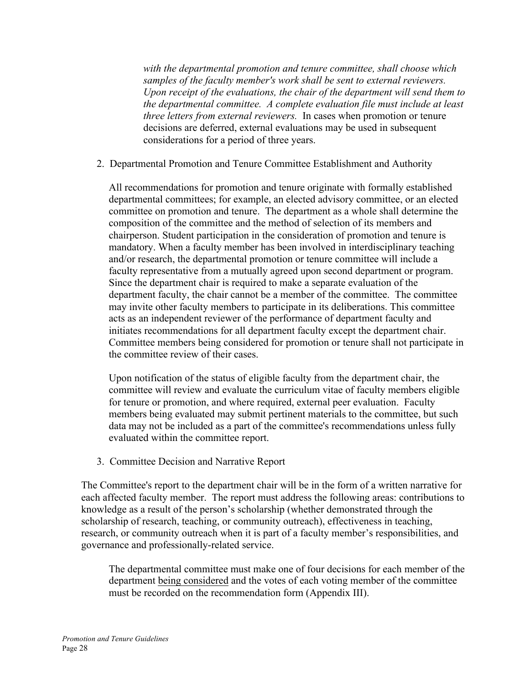*with the departmental promotion and tenure committee, shall choose which samples of the faculty member's work shall be sent to external reviewers. Upon receipt of the evaluations, the chair of the department will send them to the departmental committee. A complete evaluation file must include at least three letters from external reviewers.* In cases when promotion or tenure decisions are deferred, external evaluations may be used in subsequent considerations for a period of three years.

2. Departmental Promotion and Tenure Committee Establishment and Authority

All recommendations for promotion and tenure originate with formally established departmental committees; for example, an elected advisory committee, or an elected committee on promotion and tenure. The department as a whole shall determine the composition of the committee and the method of selection of its members and chairperson. Student participation in the consideration of promotion and tenure is mandatory. When a faculty member has been involved in interdisciplinary teaching and/or research, the departmental promotion or tenure committee will include a faculty representative from a mutually agreed upon second department or program. Since the department chair is required to make a separate evaluation of the department faculty, the chair cannot be a member of the committee. The committee may invite other faculty members to participate in its deliberations. This committee acts as an independent reviewer of the performance of department faculty and initiates recommendations for all department faculty except the department chair. Committee members being considered for promotion or tenure shall not participate in the committee review of their cases.

Upon notification of the status of eligible faculty from the department chair, the committee will review and evaluate the curriculum vitae of faculty members eligible for tenure or promotion, and where required, external peer evaluation. Faculty members being evaluated may submit pertinent materials to the committee, but such data may not be included as a part of the committee's recommendations unless fully evaluated within the committee report.

3. Committee Decision and Narrative Report

The Committee's report to the department chair will be in the form of a written narrative for each affected faculty member. The report must address the following areas: contributions to knowledge as a result of the person's scholarship (whether demonstrated through the scholarship of research, teaching, or community outreach), effectiveness in teaching, research, or community outreach when it is part of a faculty member's responsibilities, and governance and professionally-related service.

The departmental committee must make one of four decisions for each member of the department being considered and the votes of each voting member of the committee must be recorded on the recommendation form (Appendix III).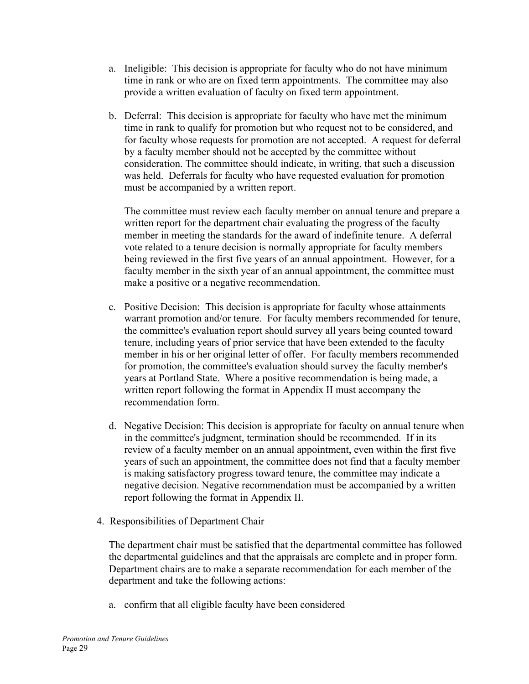- a. Ineligible: This decision is appropriate for faculty who do not have minimum time in rank or who are on fixed term appointments. The committee may also provide a written evaluation of faculty on fixed term appointment.
- b. Deferral: This decision is appropriate for faculty who have met the minimum time in rank to qualify for promotion but who request not to be considered, and for faculty whose requests for promotion are not accepted. A request for deferral by a faculty member should not be accepted by the committee without consideration. The committee should indicate, in writing, that such a discussion was held. Deferrals for faculty who have requested evaluation for promotion must be accompanied by a written report.

The committee must review each faculty member on annual tenure and prepare a written report for the department chair evaluating the progress of the faculty member in meeting the standards for the award of indefinite tenure. A deferral vote related to a tenure decision is normally appropriate for faculty members being reviewed in the first five years of an annual appointment. However, for a faculty member in the sixth year of an annual appointment, the committee must make a positive or a negative recommendation.

- c. Positive Decision: This decision is appropriate for faculty whose attainments warrant promotion and/or tenure. For faculty members recommended for tenure, the committee's evaluation report should survey all years being counted toward tenure, including years of prior service that have been extended to the faculty member in his or her original letter of offer. For faculty members recommended for promotion, the committee's evaluation should survey the faculty member's years at Portland State. Where a positive recommendation is being made, a written report following the format in Appendix II must accompany the recommendation form.
- d. Negative Decision: This decision is appropriate for faculty on annual tenure when in the committee's judgment, termination should be recommended. If in its review of a faculty member on an annual appointment, even within the first five years of such an appointment, the committee does not find that a faculty member is making satisfactory progress toward tenure, the committee may indicate a negative decision. Negative recommendation must be accompanied by a written report following the format in Appendix II.
- 4. Responsibilities of Department Chair

The department chair must be satisfied that the departmental committee has followed the departmental guidelines and that the appraisals are complete and in proper form. Department chairs are to make a separate recommendation for each member of the department and take the following actions:

a. confirm that all eligible faculty have been considered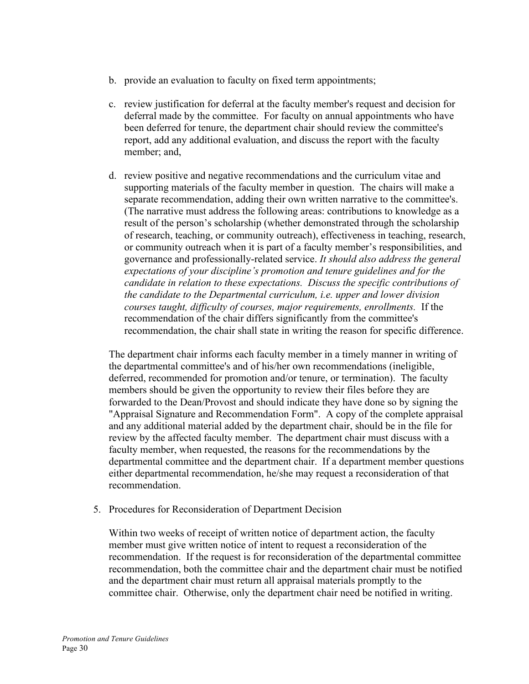- b. provide an evaluation to faculty on fixed term appointments;
- c. review justification for deferral at the faculty member's request and decision for deferral made by the committee. For faculty on annual appointments who have been deferred for tenure, the department chair should review the committee's report, add any additional evaluation, and discuss the report with the faculty member; and,
- d. review positive and negative recommendations and the curriculum vitae and supporting materials of the faculty member in question. The chairs will make a separate recommendation, adding their own written narrative to the committee's. (The narrative must address the following areas: contributions to knowledge as a result of the person's scholarship (whether demonstrated through the scholarship of research, teaching, or community outreach), effectiveness in teaching, research, or community outreach when it is part of a faculty member's responsibilities, and governance and professionally-related service. *It should also address the general expectations of your discipline's promotion and tenure guidelines and for the candidate in relation to these expectations. Discuss the specific contributions of the candidate to the Departmental curriculum, i.e. upper and lower division courses taught, difficulty of courses, major requirements, enrollments.* If the recommendation of the chair differs significantly from the committee's recommendation, the chair shall state in writing the reason for specific difference.

The department chair informs each faculty member in a timely manner in writing of the departmental committee's and of his/her own recommendations (ineligible, deferred, recommended for promotion and/or tenure, or termination). The faculty members should be given the opportunity to review their files before they are forwarded to the Dean/Provost and should indicate they have done so by signing the "Appraisal Signature and Recommendation Form". A copy of the complete appraisal and any additional material added by the department chair, should be in the file for review by the affected faculty member. The department chair must discuss with a faculty member, when requested, the reasons for the recommendations by the departmental committee and the department chair. If a department member questions either departmental recommendation, he/she may request a reconsideration of that recommendation.

5. Procedures for Reconsideration of Department Decision

Within two weeks of receipt of written notice of department action, the faculty member must give written notice of intent to request a reconsideration of the recommendation. If the request is for reconsideration of the departmental committee recommendation, both the committee chair and the department chair must be notified and the department chair must return all appraisal materials promptly to the committee chair. Otherwise, only the department chair need be notified in writing.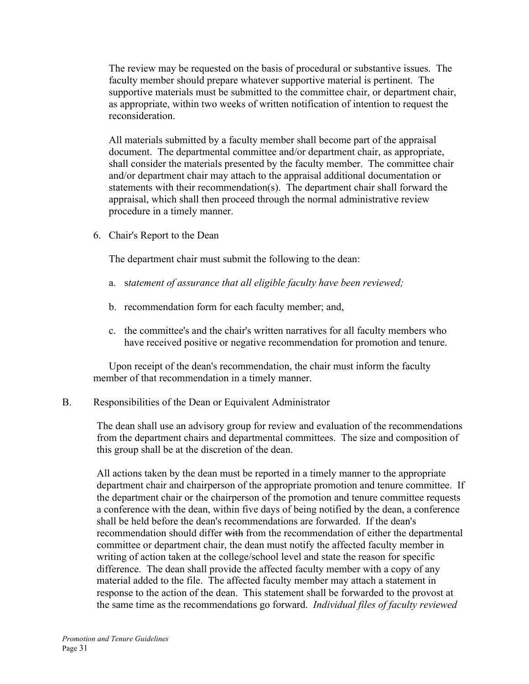The review may be requested on the basis of procedural or substantive issues. The faculty member should prepare whatever supportive material is pertinent. The supportive materials must be submitted to the committee chair, or department chair, as appropriate, within two weeks of written notification of intention to request the reconsideration.

All materials submitted by a faculty member shall become part of the appraisal document. The departmental committee and/or department chair, as appropriate, shall consider the materials presented by the faculty member. The committee chair and/or department chair may attach to the appraisal additional documentation or statements with their recommendation(s). The department chair shall forward the appraisal, which shall then proceed through the normal administrative review procedure in a timely manner.

6. Chair's Report to the Dean

The department chair must submit the following to the dean:

- a. s*tatement of assurance that all eligible faculty have been reviewed;*
- b. recommendation form for each faculty member; and,
- c. the committee's and the chair's written narratives for all faculty members who have received positive or negative recommendation for promotion and tenure.

Upon receipt of the dean's recommendation, the chair must inform the faculty member of that recommendation in a timely manner.

## B. Responsibilities of the Dean or Equivalent Administrator

The dean shall use an advisory group for review and evaluation of the recommendations from the department chairs and departmental committees. The size and composition of this group shall be at the discretion of the dean.

All actions taken by the dean must be reported in a timely manner to the appropriate department chair and chairperson of the appropriate promotion and tenure committee. If the department chair or the chairperson of the promotion and tenure committee requests a conference with the dean, within five days of being notified by the dean, a conference shall be held before the dean's recommendations are forwarded. If the dean's recommendation should differ with from the recommendation of either the departmental committee or department chair, the dean must notify the affected faculty member in writing of action taken at the college/school level and state the reason for specific difference. The dean shall provide the affected faculty member with a copy of any material added to the file. The affected faculty member may attach a statement in response to the action of the dean. This statement shall be forwarded to the provost at the same time as the recommendations go forward. *Individual files of faculty reviewed*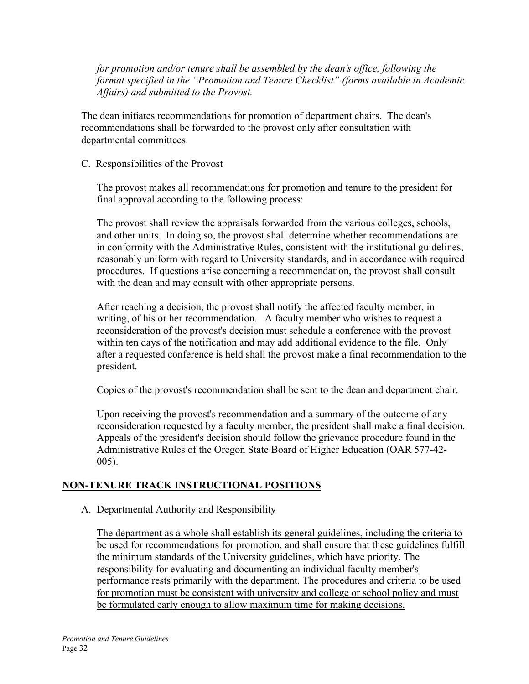*for promotion and/or tenure shall be assembled by the dean's office, following the format specified in the "Promotion and Tenure Checklist" (forms available in Academic Affairs) and submitted to the Provost.*

The dean initiates recommendations for promotion of department chairs. The dean's recommendations shall be forwarded to the provost only after consultation with departmental committees.

C. Responsibilities of the Provost

The provost makes all recommendations for promotion and tenure to the president for final approval according to the following process:

The provost shall review the appraisals forwarded from the various colleges, schools, and other units. In doing so, the provost shall determine whether recommendations are in conformity with the Administrative Rules, consistent with the institutional guidelines, reasonably uniform with regard to University standards, and in accordance with required procedures. If questions arise concerning a recommendation, the provost shall consult with the dean and may consult with other appropriate persons.

After reaching a decision, the provost shall notify the affected faculty member, in writing, of his or her recommendation. A faculty member who wishes to request a reconsideration of the provost's decision must schedule a conference with the provost within ten days of the notification and may add additional evidence to the file. Only after a requested conference is held shall the provost make a final recommendation to the president.

Copies of the provost's recommendation shall be sent to the dean and department chair.

Upon receiving the provost's recommendation and a summary of the outcome of any reconsideration requested by a faculty member, the president shall make a final decision. Appeals of the president's decision should follow the grievance procedure found in the Administrative Rules of the Oregon State Board of Higher Education (OAR 577-42- 005).

## **NON-TENURE TRACK INSTRUCTIONAL POSITIONS**

## A. Departmental Authority and Responsibility

The department as a whole shall establish its general guidelines, including the criteria to be used for recommendations for promotion, and shall ensure that these guidelines fulfill the minimum standards of the University guidelines, which have priority. The responsibility for evaluating and documenting an individual faculty member's performance rests primarily with the department. The procedures and criteria to be used for promotion must be consistent with university and college or school policy and must be formulated early enough to allow maximum time for making decisions.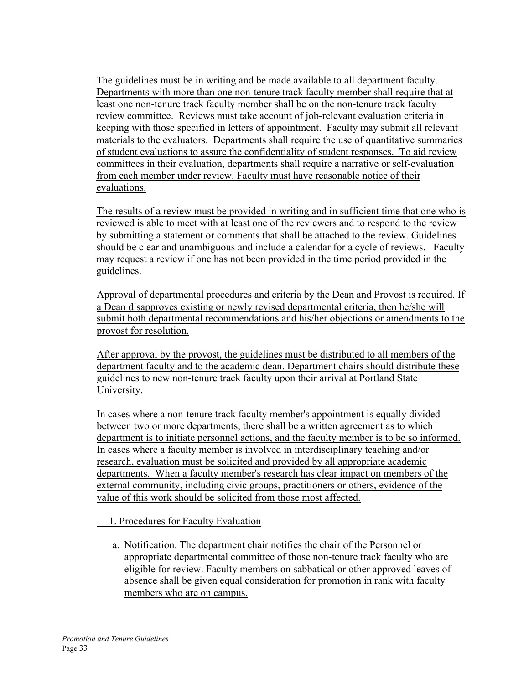The guidelines must be in writing and be made available to all department faculty. Departments with more than one non-tenure track faculty member shall require that at least one non-tenure track faculty member shall be on the non-tenure track faculty review committee. Reviews must take account of job-relevant evaluation criteria in keeping with those specified in letters of appointment. Faculty may submit all relevant materials to the evaluators. Departments shall require the use of quantitative summaries of student evaluations to assure the confidentiality of student responses. To aid review committees in their evaluation, departments shall require a narrative or self-evaluation from each member under review. Faculty must have reasonable notice of their evaluations.

The results of a review must be provided in writing and in sufficient time that one who is reviewed is able to meet with at least one of the reviewers and to respond to the review by submitting a statement or comments that shall be attached to the review. Guidelines should be clear and unambiguous and include a calendar for a cycle of reviews. Faculty may request a review if one has not been provided in the time period provided in the guidelines.

Approval of departmental procedures and criteria by the Dean and Provost is required. If a Dean disapproves existing or newly revised departmental criteria, then he/she will submit both departmental recommendations and his/her objections or amendments to the provost for resolution.

After approval by the provost, the guidelines must be distributed to all members of the department faculty and to the academic dean. Department chairs should distribute these guidelines to new non-tenure track faculty upon their arrival at Portland State University.

In cases where a non-tenure track faculty member's appointment is equally divided between two or more departments, there shall be a written agreement as to which department is to initiate personnel actions, and the faculty member is to be so informed. In cases where a faculty member is involved in interdisciplinary teaching and/or research, evaluation must be solicited and provided by all appropriate academic departments. When a faculty member's research has clear impact on members of the external community, including civic groups, practitioners or others, evidence of the value of this work should be solicited from those most affected.

1. Procedures for Faculty Evaluation

a. Notification. The department chair notifies the chair of the Personnel or appropriate departmental committee of those non-tenure track faculty who are eligible for review. Faculty members on sabbatical or other approved leaves of absence shall be given equal consideration for promotion in rank with faculty members who are on campus.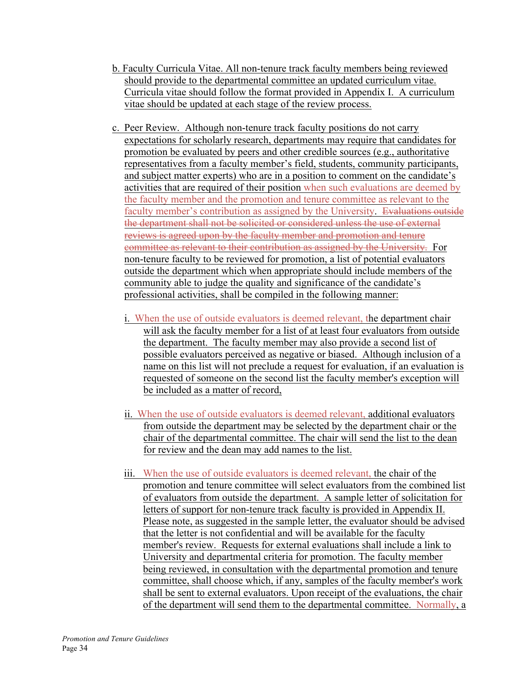- b. Faculty Curricula Vitae. All non-tenure track faculty members being reviewed should provide to the departmental committee an updated curriculum vitae. Curricula vitae should follow the format provided in Appendix I. A curriculum vitae should be updated at each stage of the review process.
- c. Peer Review. Although non-tenure track faculty positions do not carry expectations for scholarly research, departments may require that candidates for promotion be evaluated by peers and other credible sources (e.g., authoritative representatives from a faculty member's field, students, community participants, and subject matter experts) who are in a position to comment on the candidate's activities that are required of their position when such evaluations are deemed by the faculty member and the promotion and tenure committee as relevant to the faculty member's contribution as assigned by the University. Evaluations outside the department shall not be solicited or considered unless the use of external reviews is agreed upon by the faculty member and promotion and tenure committee as relevant to their contribution as assigned by the University. For non-tenure faculty to be reviewed for promotion, a list of potential evaluators outside the department which when appropriate should include members of the community able to judge the quality and significance of the candidate's professional activities, shall be compiled in the following manner:
	- i. When the use of outside evaluators is deemed relevant, the department chair will ask the faculty member for a list of at least four evaluators from outside the department. The faculty member may also provide a second list of possible evaluators perceived as negative or biased. Although inclusion of a name on this list will not preclude a request for evaluation, if an evaluation is requested of someone on the second list the faculty member's exception will be included as a matter of record,
	- ii. When the use of outside evaluators is deemed relevant, additional evaluators from outside the department may be selected by the department chair or the chair of the departmental committee. The chair will send the list to the dean for review and the dean may add names to the list.
	- iii. When the use of outside evaluators is deemed relevant, the chair of the promotion and tenure committee will select evaluators from the combined list of evaluators from outside the department. A sample letter of solicitation for letters of support for non-tenure track faculty is provided in Appendix II. Please note, as suggested in the sample letter, the evaluator should be advised that the letter is not confidential and will be available for the faculty member's review. Requests for external evaluations shall include a link to University and departmental criteria for promotion. The faculty member being reviewed, in consultation with the departmental promotion and tenure committee, shall choose which, if any, samples of the faculty member's work shall be sent to external evaluators. Upon receipt of the evaluations, the chair of the department will send them to the departmental committee. Normally, a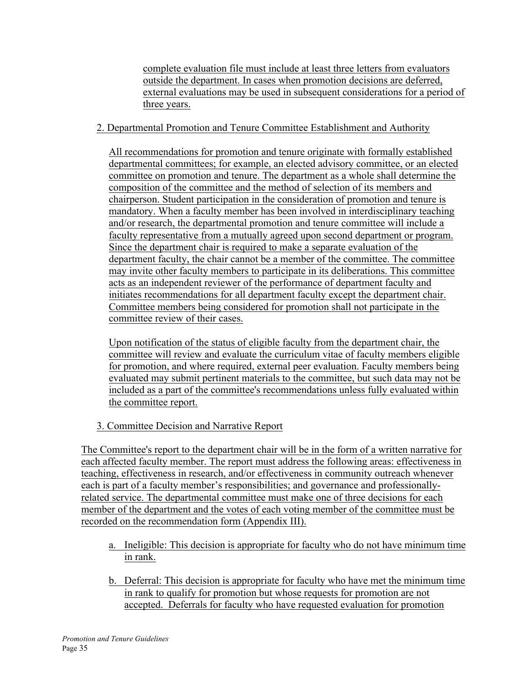complete evaluation file must include at least three letters from evaluators outside the department. In cases when promotion decisions are deferred, external evaluations may be used in subsequent considerations for a period of three years.

2. Departmental Promotion and Tenure Committee Establishment and Authority

All recommendations for promotion and tenure originate with formally established departmental committees; for example, an elected advisory committee, or an elected committee on promotion and tenure. The department as a whole shall determine the composition of the committee and the method of selection of its members and chairperson. Student participation in the consideration of promotion and tenure is mandatory. When a faculty member has been involved in interdisciplinary teaching and/or research, the departmental promotion and tenure committee will include a faculty representative from a mutually agreed upon second department or program. Since the department chair is required to make a separate evaluation of the department faculty, the chair cannot be a member of the committee. The committee may invite other faculty members to participate in its deliberations. This committee acts as an independent reviewer of the performance of department faculty and initiates recommendations for all department faculty except the department chair. Committee members being considered for promotion shall not participate in the committee review of their cases.

Upon notification of the status of eligible faculty from the department chair, the committee will review and evaluate the curriculum vitae of faculty members eligible for promotion, and where required, external peer evaluation. Faculty members being evaluated may submit pertinent materials to the committee, but such data may not be included as a part of the committee's recommendations unless fully evaluated within the committee report.

3. Committee Decision and Narrative Report

The Committee's report to the department chair will be in the form of a written narrative for each affected faculty member. The report must address the following areas: effectiveness in teaching, effectiveness in research, and/or effectiveness in community outreach whenever each is part of a faculty member's responsibilities; and governance and professionallyrelated service. The departmental committee must make one of three decisions for each member of the department and the votes of each voting member of the committee must be recorded on the recommendation form (Appendix III).

- a. Ineligible: This decision is appropriate for faculty who do not have minimum time in rank.
- b. Deferral: This decision is appropriate for faculty who have met the minimum time in rank to qualify for promotion but whose requests for promotion are not accepted. Deferrals for faculty who have requested evaluation for promotion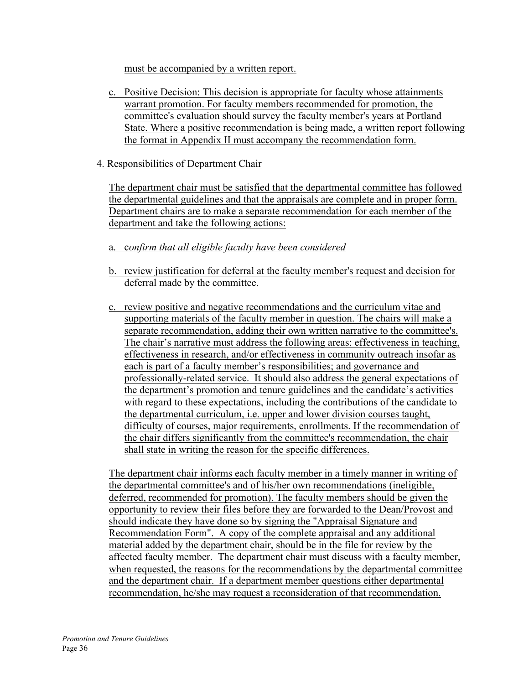must be accompanied by a written report.

c. Positive Decision: This decision is appropriate for faculty whose attainments warrant promotion. For faculty members recommended for promotion, the committee's evaluation should survey the faculty member's years at Portland State. Where a positive recommendation is being made, a written report following the format in Appendix II must accompany the recommendation form.

### 4. Responsibilities of Department Chair

The department chair must be satisfied that the departmental committee has followed the departmental guidelines and that the appraisals are complete and in proper form. Department chairs are to make a separate recommendation for each member of the department and take the following actions:

#### a. c*onfirm that all eligible faculty have been considered*

- b. review justification for deferral at the faculty member's request and decision for deferral made by the committee.
- c. review positive and negative recommendations and the curriculum vitae and supporting materials of the faculty member in question. The chairs will make a separate recommendation, adding their own written narrative to the committee's. The chair's narrative must address the following areas: effectiveness in teaching, effectiveness in research, and/or effectiveness in community outreach insofar as each is part of a faculty member's responsibilities; and governance and professionally-related service. It should also address the general expectations of the department's promotion and tenure guidelines and the candidate's activities with regard to these expectations, including the contributions of the candidate to the departmental curriculum, i.e. upper and lower division courses taught, difficulty of courses, major requirements, enrollments. If the recommendation of the chair differs significantly from the committee's recommendation, the chair shall state in writing the reason for the specific differences.

The department chair informs each faculty member in a timely manner in writing of the departmental committee's and of his/her own recommendations (ineligible, deferred, recommended for promotion). The faculty members should be given the opportunity to review their files before they are forwarded to the Dean/Provost and should indicate they have done so by signing the "Appraisal Signature and Recommendation Form". A copy of the complete appraisal and any additional material added by the department chair, should be in the file for review by the affected faculty member. The department chair must discuss with a faculty member, when requested, the reasons for the recommendations by the departmental committee and the department chair. If a department member questions either departmental recommendation, he/she may request a reconsideration of that recommendation.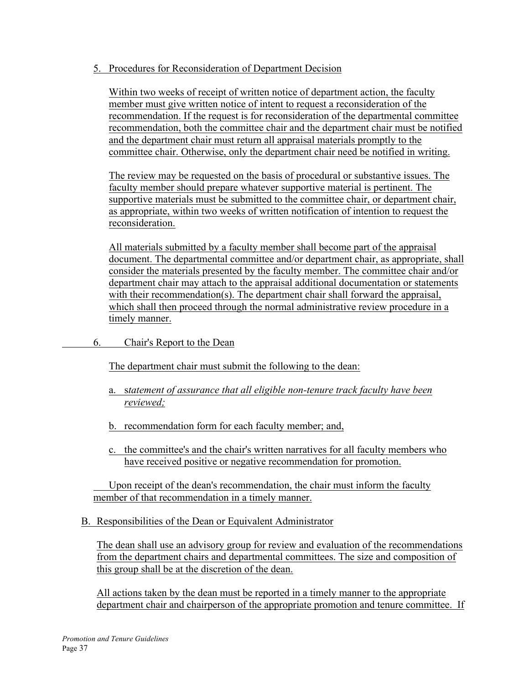## 5. Procedures for Reconsideration of Department Decision

Within two weeks of receipt of written notice of department action, the faculty member must give written notice of intent to request a reconsideration of the recommendation. If the request is for reconsideration of the departmental committee recommendation, both the committee chair and the department chair must be notified and the department chair must return all appraisal materials promptly to the committee chair. Otherwise, only the department chair need be notified in writing.

The review may be requested on the basis of procedural or substantive issues. The faculty member should prepare whatever supportive material is pertinent. The supportive materials must be submitted to the committee chair, or department chair, as appropriate, within two weeks of written notification of intention to request the reconsideration.

All materials submitted by a faculty member shall become part of the appraisal document. The departmental committee and/or department chair, as appropriate, shall consider the materials presented by the faculty member. The committee chair and/or department chair may attach to the appraisal additional documentation or statements with their recommendation(s). The department chair shall forward the appraisal, which shall then proceed through the normal administrative review procedure in a timely manner.

6. Chair's Report to the Dean

The department chair must submit the following to the dean:

- a. s*tatement of assurance that all eligible non-tenure track faculty have been reviewed;*
- b. recommendation form for each faculty member; and,
- c. the committee's and the chair's written narratives for all faculty members who have received positive or negative recommendation for promotion.

Upon receipt of the dean's recommendation, the chair must inform the faculty member of that recommendation in a timely manner.

B. Responsibilities of the Dean or Equivalent Administrator

The dean shall use an advisory group for review and evaluation of the recommendations from the department chairs and departmental committees. The size and composition of this group shall be at the discretion of the dean.

All actions taken by the dean must be reported in a timely manner to the appropriate department chair and chairperson of the appropriate promotion and tenure committee. If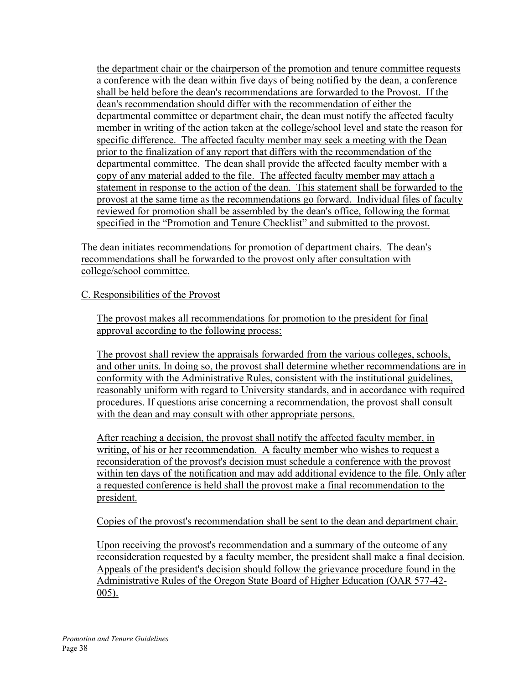the department chair or the chairperson of the promotion and tenure committee requests a conference with the dean within five days of being notified by the dean, a conference shall be held before the dean's recommendations are forwarded to the Provost. If the dean's recommendation should differ with the recommendation of either the departmental committee or department chair, the dean must notify the affected faculty member in writing of the action taken at the college/school level and state the reason for specific difference. The affected faculty member may seek a meeting with the Dean prior to the finalization of any report that differs with the recommendation of the departmental committee. The dean shall provide the affected faculty member with a copy of any material added to the file. The affected faculty member may attach a statement in response to the action of the dean. This statement shall be forwarded to the provost at the same time as the recommendations go forward. Individual files of faculty reviewed for promotion shall be assembled by the dean's office, following the format specified in the "Promotion and Tenure Checklist" and submitted to the provost.

The dean initiates recommendations for promotion of department chairs. The dean's recommendations shall be forwarded to the provost only after consultation with college/school committee.

C. Responsibilities of the Provost

The provost makes all recommendations for promotion to the president for final approval according to the following process:

The provost shall review the appraisals forwarded from the various colleges, schools, and other units. In doing so, the provost shall determine whether recommendations are in conformity with the Administrative Rules, consistent with the institutional guidelines, reasonably uniform with regard to University standards, and in accordance with required procedures. If questions arise concerning a recommendation, the provost shall consult with the dean and may consult with other appropriate persons.

After reaching a decision, the provost shall notify the affected faculty member, in writing, of his or her recommendation. A faculty member who wishes to request a reconsideration of the provost's decision must schedule a conference with the provost within ten days of the notification and may add additional evidence to the file. Only after a requested conference is held shall the provost make a final recommendation to the president.

Copies of the provost's recommendation shall be sent to the dean and department chair.

Upon receiving the provost's recommendation and a summary of the outcome of any reconsideration requested by a faculty member, the president shall make a final decision. Appeals of the president's decision should follow the grievance procedure found in the Administrative Rules of the Oregon State Board of Higher Education (OAR 577-42- 005).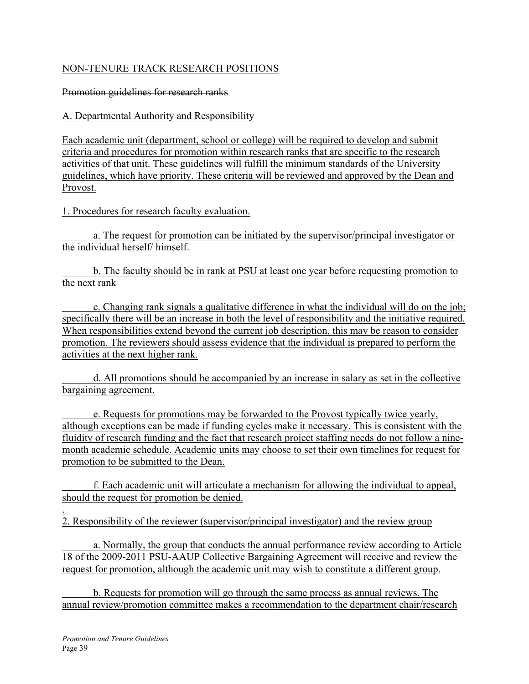## NON-TENURE TRACK RESEARCH POSITIONS

#### Promotion guidelines for research ranks

A. Departmental Authority and Responsibility

Each academic unit (department, school or college) will be required to develop and submit criteria and procedures for promotion within research ranks that are specific to the research activities of that unit. These guidelines will fulfill the minimum standards of the University guidelines, which have priority. These criteria will be reviewed and approved by the Dean and Provost.

1. Procedures for research faculty evaluation.

a. The request for promotion can be initiated by the supervisor/principal investigator or the individual herself/ himself.

b. The faculty should be in rank at PSU at least one year before requesting promotion to the next rank

c. Changing rank signals a qualitative difference in what the individual will do on the job; specifically there will be an increase in both the level of responsibility and the initiative required. When responsibilities extend beyond the current job description, this may be reason to consider promotion. The reviewers should assess evidence that the individual is prepared to perform the activities at the next higher rank.

d. All promotions should be accompanied by an increase in salary as set in the collective bargaining agreement.

e. Requests for promotions may be forwarded to the Provost typically twice yearly, although exceptions can be made if funding cycles make it necessary. This is consistent with the fluidity of research funding and the fact that research project staffing needs do not follow a ninemonth academic schedule. Academic units may choose to set their own timelines for request for promotion to be submitted to the Dean.

f. Each academic unit will articulate a mechanism for allowing the individual to appeal, should the request for promotion be denied.

. 2. Responsibility of the reviewer (supervisor/principal investigator) and the review group

a. Normally, the group that conducts the annual performance review according to Article 18 of the 2009-2011 PSU-AAUP Collective Bargaining Agreement will receive and review the request for promotion, although the academic unit may wish to constitute a different group.

b. Requests for promotion will go through the same process as annual reviews. The annual review/promotion committee makes a recommendation to the department chair/research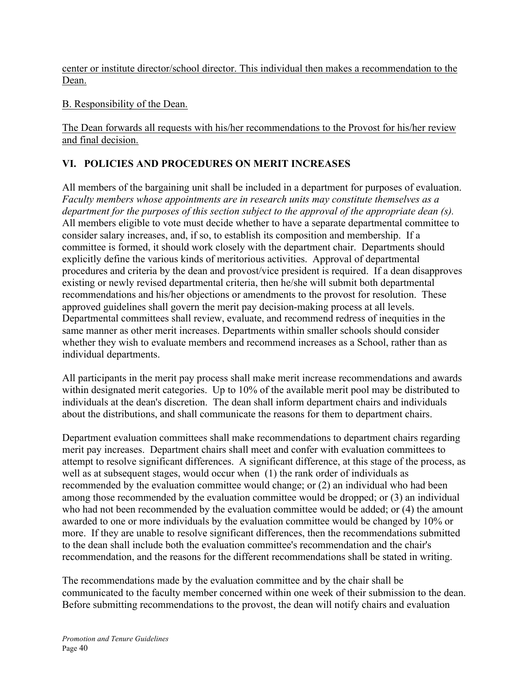center or institute director/school director. This individual then makes a recommendation to the Dean.

## B. Responsibility of the Dean.

The Dean forwards all requests with his/her recommendations to the Provost for his/her review and final decision.

# **VI. POLICIES AND PROCEDURES ON MERIT INCREASES**

All members of the bargaining unit shall be included in a department for purposes of evaluation. *Faculty members whose appointments are in research units may constitute themselves as a department for the purposes of this section subject to the approval of the appropriate dean (s).*  All members eligible to vote must decide whether to have a separate departmental committee to consider salary increases, and, if so, to establish its composition and membership. If a committee is formed, it should work closely with the department chair. Departments should explicitly define the various kinds of meritorious activities. Approval of departmental procedures and criteria by the dean and provost/vice president is required. If a dean disapproves existing or newly revised departmental criteria, then he/she will submit both departmental recommendations and his/her objections or amendments to the provost for resolution. These approved guidelines shall govern the merit pay decision-making process at all levels. Departmental committees shall review, evaluate, and recommend redress of inequities in the same manner as other merit increases. Departments within smaller schools should consider whether they wish to evaluate members and recommend increases as a School, rather than as individual departments.

All participants in the merit pay process shall make merit increase recommendations and awards within designated merit categories. Up to 10% of the available merit pool may be distributed to individuals at the dean's discretion. The dean shall inform department chairs and individuals about the distributions, and shall communicate the reasons for them to department chairs.

Department evaluation committees shall make recommendations to department chairs regarding merit pay increases. Department chairs shall meet and confer with evaluation committees to attempt to resolve significant differences. A significant difference, at this stage of the process, as well as at subsequent stages, would occur when (1) the rank order of individuals as recommended by the evaluation committee would change; or (2) an individual who had been among those recommended by the evaluation committee would be dropped; or (3) an individual who had not been recommended by the evaluation committee would be added; or  $(4)$  the amount awarded to one or more individuals by the evaluation committee would be changed by 10% or more. If they are unable to resolve significant differences, then the recommendations submitted to the dean shall include both the evaluation committee's recommendation and the chair's recommendation, and the reasons for the different recommendations shall be stated in writing.

The recommendations made by the evaluation committee and by the chair shall be communicated to the faculty member concerned within one week of their submission to the dean. Before submitting recommendations to the provost, the dean will notify chairs and evaluation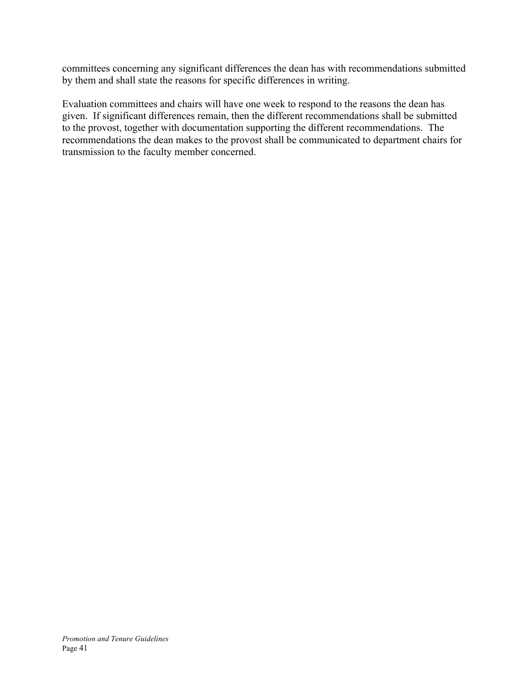committees concerning any significant differences the dean has with recommendations submitted by them and shall state the reasons for specific differences in writing.

Evaluation committees and chairs will have one week to respond to the reasons the dean has given. If significant differences remain, then the different recommendations shall be submitted to the provost, together with documentation supporting the different recommendations. The recommendations the dean makes to the provost shall be communicated to department chairs for transmission to the faculty member concerned.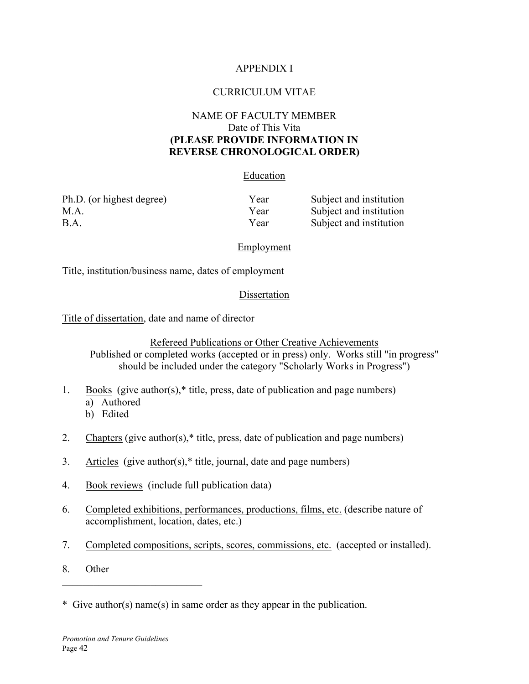## APPENDIX I

## CURRICULUM VITAE

## NAME OF FACULTY MEMBER Date of This Vita **(PLEASE PROVIDE INFORMATION IN REVERSE CHRONOLOGICAL ORDER)**

#### Education

Ph.D. (or highest degree) Year Subject and institution M.A. Subject and institution B.A. Year Subject and institution

## Employment

Title, institution/business name, dates of employment

## Dissertation

Title of dissertation, date and name of director

Refereed Publications or Other Creative Achievements

Published or completed works (accepted or in press) only. Works still "in progress" should be included under the category "Scholarly Works in Progress")

- 1. Books (give author(s),\* title, press, date of publication and page numbers)
	- a) Authored
	- b) Edited
- 2. Chapters (give author(s),\* title, press, date of publication and page numbers)
- 3. Articles (give author(s),\* title, journal, date and page numbers)
- 4. Book reviews (include full publication data)
- 6. Completed exhibitions, performances, productions, films, etc. (describe nature of accomplishment, location, dates, etc.)
- 7. Completed compositions, scripts, scores, commissions, etc. (accepted or installed).
- 8. Other

 $\mathcal{L}_\text{max}$ 

<sup>\*</sup> Give author(s) name(s) in same order as they appear in the publication.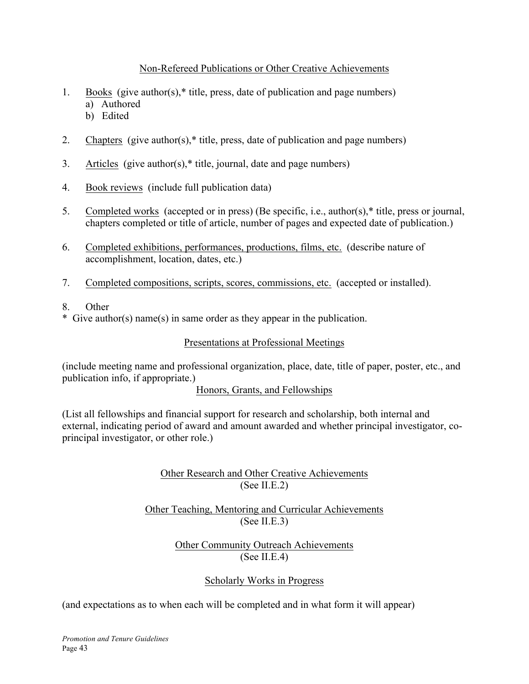## Non-Refereed Publications or Other Creative Achievements

- 1. Books (give author(s),\* title, press, date of publication and page numbers) a) Authored
	- b) Edited
- 2. Chapters (give author(s), $*$  title, press, date of publication and page numbers)
- 3. Articles (give author(s),\* title, journal, date and page numbers)
- 4. Book reviews (include full publication data)
- 5. Completed works (accepted or in press) (Be specific, i.e., author(s),\* title, press or journal, chapters completed or title of article, number of pages and expected date of publication.)
- 6. Completed exhibitions, performances, productions, films, etc. (describe nature of accomplishment, location, dates, etc.)
- 7. Completed compositions, scripts, scores, commissions, etc. (accepted or installed).
- 8. Other
- \* Give author(s) name(s) in same order as they appear in the publication.

#### Presentations at Professional Meetings

(include meeting name and professional organization, place, date, title of paper, poster, etc., and publication info, if appropriate.)

#### Honors, Grants, and Fellowships

(List all fellowships and financial support for research and scholarship, both internal and external, indicating period of award and amount awarded and whether principal investigator, coprincipal investigator, or other role.)

> Other Research and Other Creative Achievements  $(See II.E.2)$

## Other Teaching, Mentoring and Curricular Achievements (See II.E.3)

Other Community Outreach Achievements  $(See II.E.4)$ 

## Scholarly Works in Progress

(and expectations as to when each will be completed and in what form it will appear)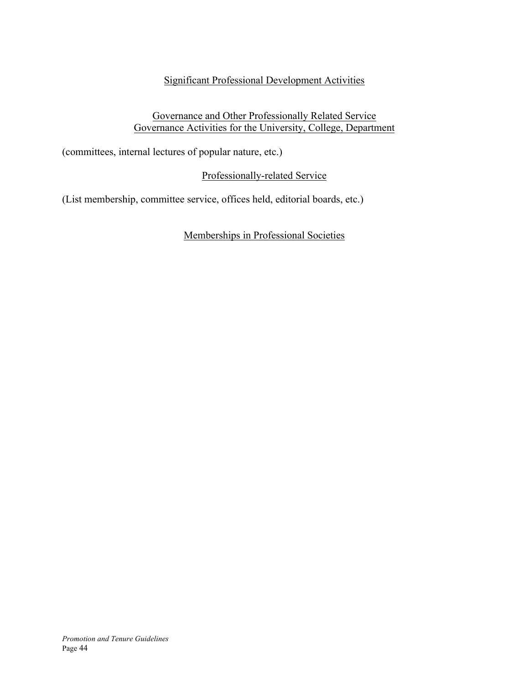## Significant Professional Development Activities

## Governance and Other Professionally Related Service Governance Activities for the University, College, Department

(committees, internal lectures of popular nature, etc.)

## Professionally-related Service

(List membership, committee service, offices held, editorial boards, etc.)

# Memberships in Professional Societies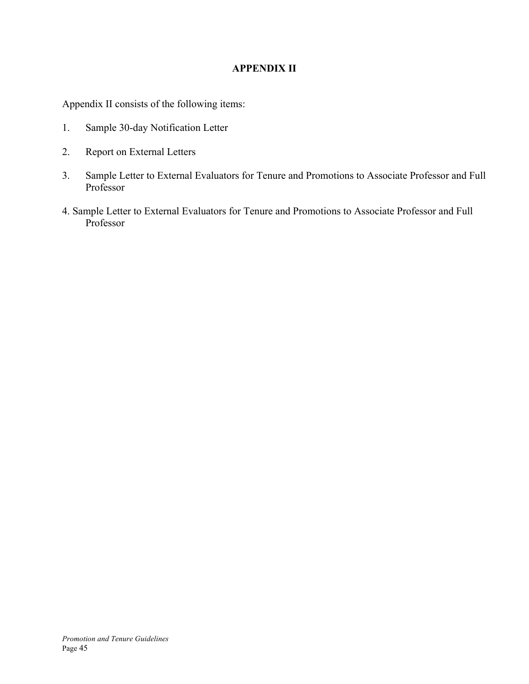## **APPENDIX II**

Appendix II consists of the following items:

- 1. Sample 30-day Notification Letter
- 2. Report on External Letters
- 3. Sample Letter to External Evaluators for Tenure and Promotions to Associate Professor and Full Professor
- 4. Sample Letter to External Evaluators for Tenure and Promotions to Associate Professor and Full Professor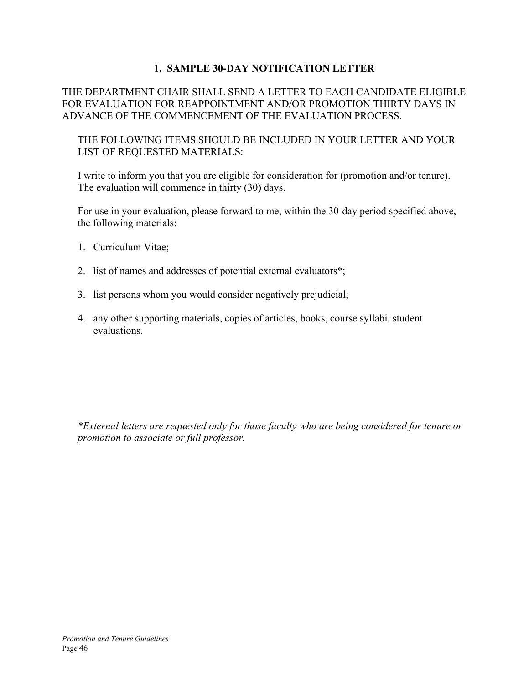## **1. SAMPLE 30-DAY NOTIFICATION LETTER**

### THE DEPARTMENT CHAIR SHALL SEND A LETTER TO EACH CANDIDATE ELIGIBLE FOR EVALUATION FOR REAPPOINTMENT AND/OR PROMOTION THIRTY DAYS IN ADVANCE OF THE COMMENCEMENT OF THE EVALUATION PROCESS.

## THE FOLLOWING ITEMS SHOULD BE INCLUDED IN YOUR LETTER AND YOUR LIST OF REQUESTED MATERIALS:

I write to inform you that you are eligible for consideration for (promotion and/or tenure). The evaluation will commence in thirty (30) days.

For use in your evaluation, please forward to me, within the 30-day period specified above, the following materials:

- 1. Curriculum Vitae;
- 2. list of names and addresses of potential external evaluators\*;
- 3. list persons whom you would consider negatively prejudicial;
- 4. any other supporting materials, copies of articles, books, course syllabi, student evaluations.

*\*External letters are requested only for those faculty who are being considered for tenure or promotion to associate or full professor.*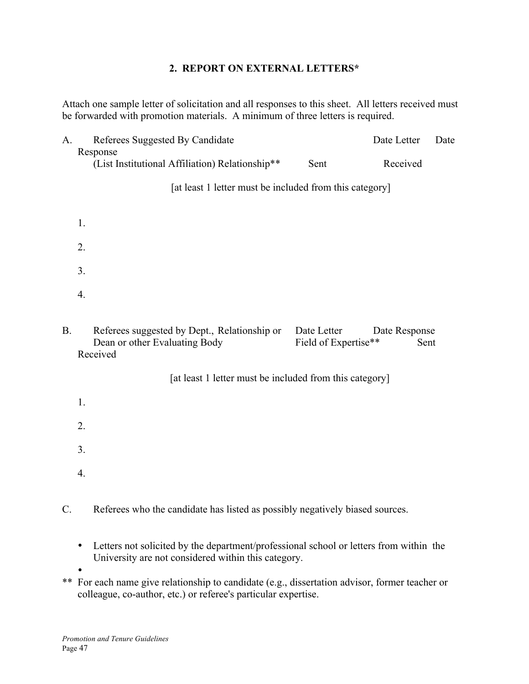## **2. REPORT ON EXTERNAL LETTERS\***

Attach one sample letter of solicitation and all responses to this sheet. All letters received must be forwarded with promotion materials. A minimum of three letters is required.

| Α. | Referees Suggested By Candidate                             |      | Date Letter | Date |
|----|-------------------------------------------------------------|------|-------------|------|
|    | Response<br>(List Institutional Affiliation) Relationship** | Sent | Received    |      |
|    | [at least 1 letter must be included from this category]     |      |             |      |

| 3. |                                                                               |                                     |                       |
|----|-------------------------------------------------------------------------------|-------------------------------------|-----------------------|
|    |                                                                               |                                     |                       |
| В. | Referees suggested by Dept., Relationship or<br>Dean or other Evaluating Body | Date Letter<br>Field of Expertise** | Date Response<br>Sent |

## Received

[at least 1 letter must be included from this category]

1.

1.

2.

- 2.
- 3.
- 
- 4.

C. Referees who the candidate has listed as possibly negatively biased sources.

- Letters not solicited by the department/professional school or letters from within the University are not considered within this category.
- •
- \*\* For each name give relationship to candidate (e.g., dissertation advisor, former teacher or colleague, co-author, etc.) or referee's particular expertise.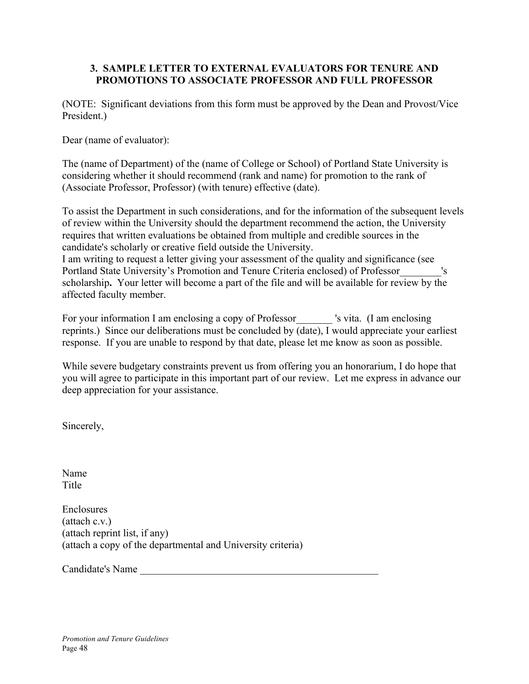## **3. SAMPLE LETTER TO EXTERNAL EVALUATORS FOR TENURE AND PROMOTIONS TO ASSOCIATE PROFESSOR AND FULL PROFESSOR**

(NOTE: Significant deviations from this form must be approved by the Dean and Provost/Vice President.)

Dear (name of evaluator):

The (name of Department) of the (name of College or School) of Portland State University is considering whether it should recommend (rank and name) for promotion to the rank of (Associate Professor, Professor) (with tenure) effective (date).

To assist the Department in such considerations, and for the information of the subsequent levels of review within the University should the department recommend the action, the University requires that written evaluations be obtained from multiple and credible sources in the candidate's scholarly or creative field outside the University. I am writing to request a letter giving your assessment of the quality and significance (see

Portland State University's Promotion and Tenure Criteria enclosed) of Professor Samuel Criteria enclosed) of Professor scholarship**.** Your letter will become a part of the file and will be available for review by the affected faculty member.

For your information I am enclosing a copy of Professor\_\_\_\_\_\_\_ 's vita. (I am enclosing reprints.) Since our deliberations must be concluded by (date), I would appreciate your earliest response. If you are unable to respond by that date, please let me know as soon as possible.

While severe budgetary constraints prevent us from offering you an honorarium, I do hope that you will agree to participate in this important part of our review. Let me express in advance our deep appreciation for your assistance.

Sincerely,

Name Title

Enclosures (attach c.v.) (attach reprint list, if any) (attach a copy of the departmental and University criteria)

Candidate's Name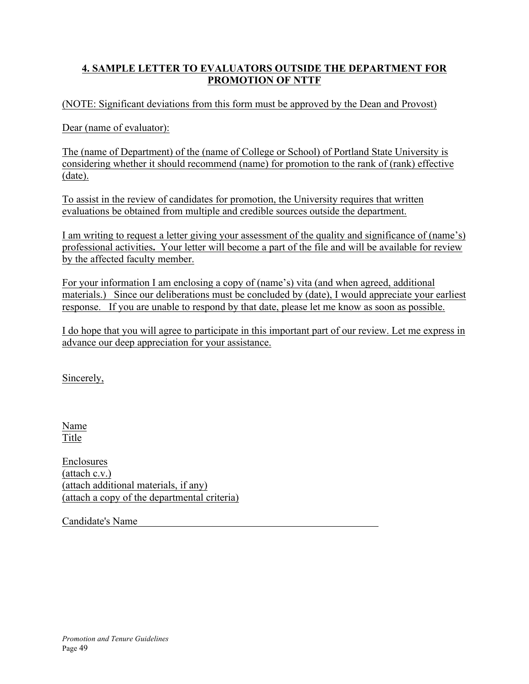## **4. SAMPLE LETTER TO EVALUATORS OUTSIDE THE DEPARTMENT FOR PROMOTION OF NTTF**

(NOTE: Significant deviations from this form must be approved by the Dean and Provost)

Dear (name of evaluator):

The (name of Department) of the (name of College or School) of Portland State University is considering whether it should recommend (name) for promotion to the rank of (rank) effective (date).

To assist in the review of candidates for promotion, the University requires that written evaluations be obtained from multiple and credible sources outside the department.

I am writing to request a letter giving your assessment of the quality and significance of (name's) professional activities**.** Your letter will become a part of the file and will be available for review by the affected faculty member.

For your information I am enclosing a copy of (name's) vita (and when agreed, additional materials.) Since our deliberations must be concluded by (date), I would appreciate your earliest response. If you are unable to respond by that date, please let me know as soon as possible.

I do hope that you will agree to participate in this important part of our review. Let me express in advance our deep appreciation for your assistance.

Sincerely,

Name Title

Enclosures (attach c.v.) (attach additional materials, if any) (attach a copy of the departmental criteria)

Candidate's Name \_\_\_\_\_\_\_\_\_\_\_\_\_\_\_\_\_\_\_\_\_\_\_\_\_\_\_\_\_\_\_\_\_\_\_\_\_\_\_\_\_\_\_\_\_\_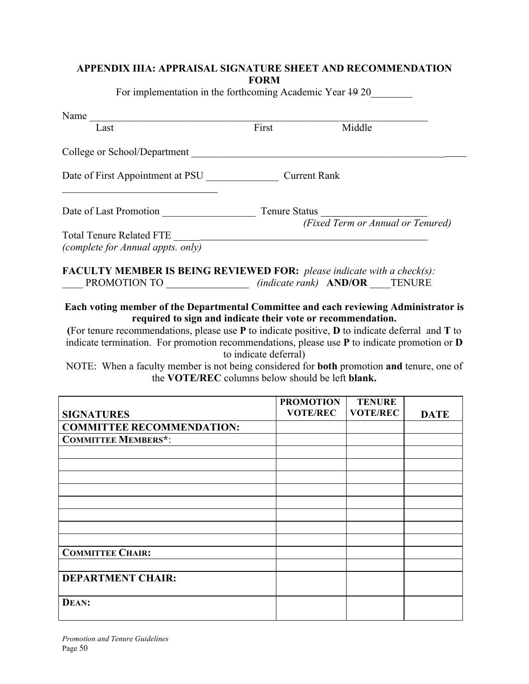#### **APPENDIX IIIA: APPRAISAL SIGNATURE SHEET AND RECOMMENDATION FORM**

For implementation in the forthcoming Academic Year  $\frac{19}{20}$ 

| Name<br>Last                                                                                                                                        | First | Middle                                                            |
|-----------------------------------------------------------------------------------------------------------------------------------------------------|-------|-------------------------------------------------------------------|
| College or School/Department                                                                                                                        |       |                                                                   |
| Date of First Appointment at PSU                                                                                                                    |       | <b>Current Rank</b>                                               |
| Date of Last Promotion                                                                                                                              |       | Tenure Status <u>Sanctus</u><br>(Fixed Term or Annual or Tenured) |
| <b>Total Tenure Related FTE</b><br>(complete for Annual appts. only)                                                                                |       |                                                                   |
| <b>FACULTY MEMBER IS BEING REVIEWED FOR:</b> please indicate with a check(s):<br>PROMOTION TO <i>(indicate rank)</i> <b>AND/OR</b> TENURE           |       |                                                                   |
| Each voting member of the Departmental Committee and each reviewing Administrator is<br>required to sign and indicate their vote or recommendation. |       |                                                                   |

**(**For tenure recommendations, please use **P** to indicate positive, **D** to indicate deferral and **T** to indicate termination. For promotion recommendations, please use **P** to indicate promotion or **D** to indicate deferral)

NOTE: When a faculty member is not being considered for **both** promotion **and** tenure, one of the **VOTE/REC** columns below should be left **blank.** 

|                                  | <b>PROMOTION</b> | <b>TENURE</b>   |             |
|----------------------------------|------------------|-----------------|-------------|
| <b>SIGNATURES</b>                | <b>VOTE/REC</b>  | <b>VOTE/REC</b> | <b>DATE</b> |
| <b>COMMITTEE RECOMMENDATION:</b> |                  |                 |             |
| <b>COMMITTEE MEMBERS*:</b>       |                  |                 |             |
|                                  |                  |                 |             |
|                                  |                  |                 |             |
|                                  |                  |                 |             |
|                                  |                  |                 |             |
|                                  |                  |                 |             |
|                                  |                  |                 |             |
|                                  |                  |                 |             |
|                                  |                  |                 |             |
| <b>COMMITTEE CHAIR:</b>          |                  |                 |             |
|                                  |                  |                 |             |
| <b>DEPARTMENT CHAIR:</b>         |                  |                 |             |
|                                  |                  |                 |             |
| DEAN:                            |                  |                 |             |
|                                  |                  |                 |             |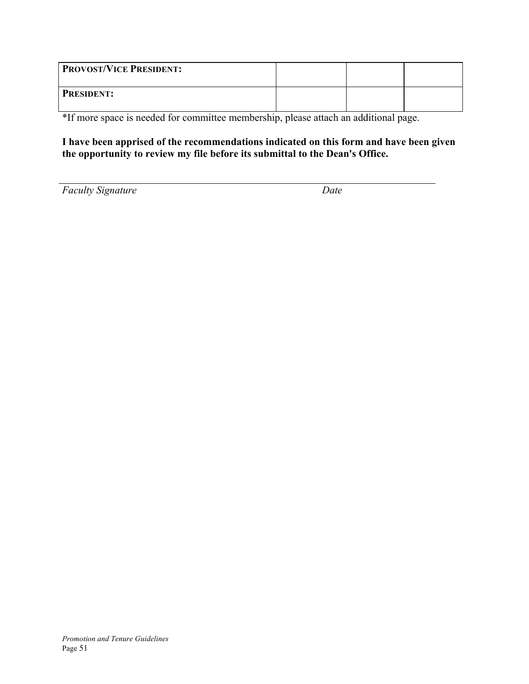| <b>PROVOST/VICE PRESIDENT:</b> |  |  |
|--------------------------------|--|--|
| <b>PRESIDENT:</b>              |  |  |

\*If more space is needed for committee membership, please attach an additional page.

## **I have been apprised of the recommendations indicated on this form and have been given the opportunity to review my file before its submittal to the Dean's Office.**

*Faculty Signature Date*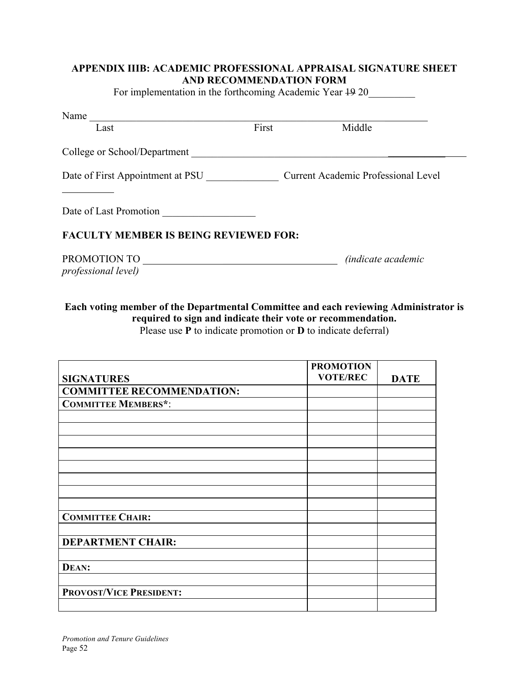## **APPENDIX IIIB: ACADEMIC PROFESSIONAL APPRAISAL SIGNATURE SHEET AND RECOMMENDATION FORM**

|  | For implementation in the forthcoming Academic Year 19 20 |  |
|--|-----------------------------------------------------------|--|
|--|-----------------------------------------------------------|--|

| Middle                                       |
|----------------------------------------------|
|                                              |
| Current Academic Professional Level          |
|                                              |
|                                              |
| <b>FACULTY MEMBER IS BEING REVIEWED FOR:</b> |
| PROMOTION TO<br><i>(indicate academic</i> )  |
|                                              |

# **Each voting member of the Departmental Committee and each reviewing Administrator is required to sign and indicate their vote or recommendation.**

Please use **P** to indicate promotion or **D** to indicate deferral)

|                                  | <b>PROMOTION</b> |             |
|----------------------------------|------------------|-------------|
| <b>SIGNATURES</b>                | <b>VOTE/REC</b>  | <b>DATE</b> |
| <b>COMMITTEE RECOMMENDATION:</b> |                  |             |
| <b>COMMITTEE MEMBERS*:</b>       |                  |             |
|                                  |                  |             |
|                                  |                  |             |
|                                  |                  |             |
|                                  |                  |             |
|                                  |                  |             |
|                                  |                  |             |
|                                  |                  |             |
|                                  |                  |             |
| <b>COMMITTEE CHAIR:</b>          |                  |             |
|                                  |                  |             |
| <b>DEPARTMENT CHAIR:</b>         |                  |             |
|                                  |                  |             |
| DEAN:                            |                  |             |
|                                  |                  |             |
| <b>PROVOST/VICE PRESIDENT:</b>   |                  |             |
|                                  |                  |             |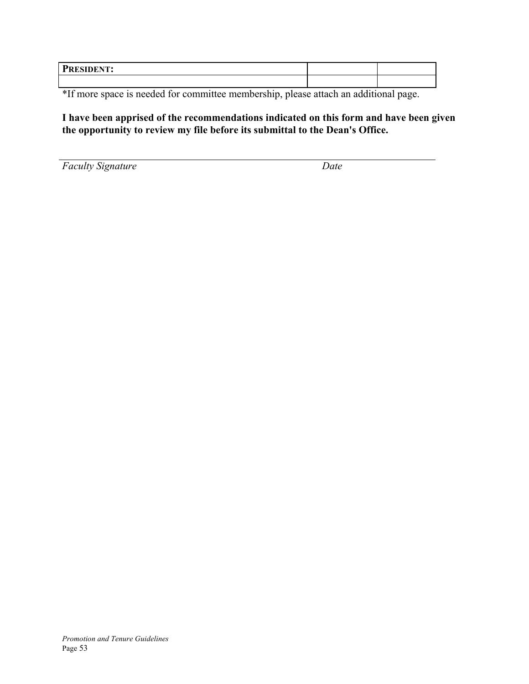| <b>PRESIDENT:</b> |  |
|-------------------|--|
|                   |  |

\*If more space is needed for committee membership, please attach an additional page.

**I have been apprised of the recommendations indicated on this form and have been given the opportunity to review my file before its submittal to the Dean's Office.**

*Faculty Signature Date*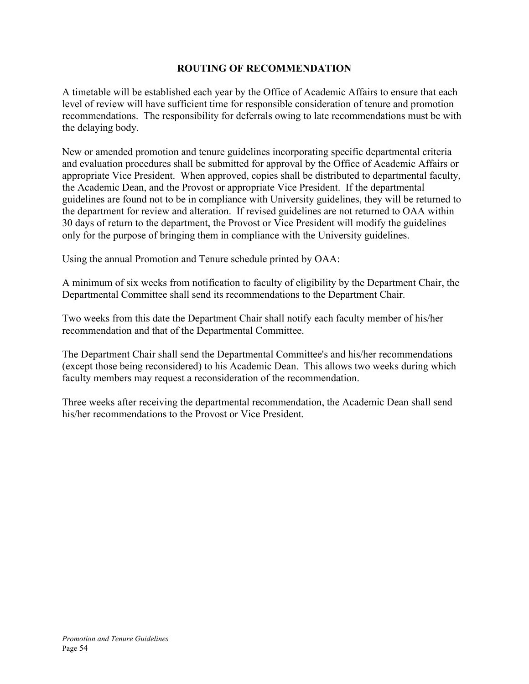## **ROUTING OF RECOMMENDATION**

A timetable will be established each year by the Office of Academic Affairs to ensure that each level of review will have sufficient time for responsible consideration of tenure and promotion recommendations. The responsibility for deferrals owing to late recommendations must be with the delaying body.

New or amended promotion and tenure guidelines incorporating specific departmental criteria and evaluation procedures shall be submitted for approval by the Office of Academic Affairs or appropriate Vice President. When approved, copies shall be distributed to departmental faculty, the Academic Dean, and the Provost or appropriate Vice President. If the departmental guidelines are found not to be in compliance with University guidelines, they will be returned to the department for review and alteration. If revised guidelines are not returned to OAA within 30 days of return to the department, the Provost or Vice President will modify the guidelines only for the purpose of bringing them in compliance with the University guidelines.

Using the annual Promotion and Tenure schedule printed by OAA:

A minimum of six weeks from notification to faculty of eligibility by the Department Chair, the Departmental Committee shall send its recommendations to the Department Chair.

Two weeks from this date the Department Chair shall notify each faculty member of his/her recommendation and that of the Departmental Committee.

The Department Chair shall send the Departmental Committee's and his/her recommendations (except those being reconsidered) to his Academic Dean. This allows two weeks during which faculty members may request a reconsideration of the recommendation.

Three weeks after receiving the departmental recommendation, the Academic Dean shall send his/her recommendations to the Provost or Vice President.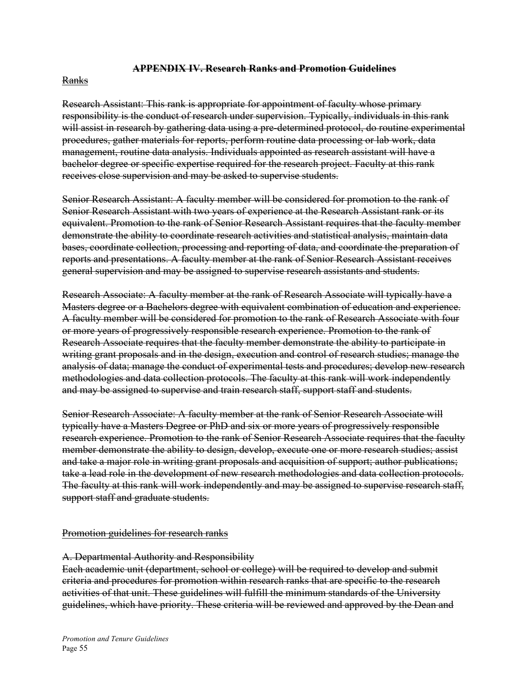#### **APPENDIX IV. Research Ranks and Promotion Guidelines**

#### Ranks

Research Assistant: This rank is appropriate for appointment of faculty whose primary responsibility is the conduct of research under supervision. Typically, individuals in this rank will assist in research by gathering data using a pre-determined protocol, do routine experimental procedures, gather materials for reports, perform routine data processing or lab work, data management, routine data analysis. Individuals appointed as research assistant will have a bachelor degree or specific expertise required for the research project. Faculty at this rank receives close supervision and may be asked to supervise students.

Senior Research Assistant: A faculty member will be considered for promotion to the rank of Senior Research Assistant with two years of experience at the Research Assistant rank or its equivalent. Promotion to the rank of Senior Research Assistant requires that the faculty member demonstrate the ability to coordinate research activities and statistical analysis, maintain data bases, coordinate collection, processing and reporting of data, and coordinate the preparation of reports and presentations. A faculty member at the rank of Senior Research Assistant receives general supervision and may be assigned to supervise research assistants and students.

Research Associate: A faculty member at the rank of Research Associate will typically have a Masters degree or a Bachelors degree with equivalent combination of education and experience. A faculty member will be considered for promotion to the rank of Research Associate with four or more years of progressively responsible research experience. Promotion to the rank of Research Associate requires that the faculty member demonstrate the ability to participate in writing grant proposals and in the design, execution and control of research studies; manage the analysis of data; manage the conduct of experimental tests and procedures; develop new research methodologies and data collection protocols. The faculty at this rank will work independently and may be assigned to supervise and train research staff, support staff and students.

Senior Research Associate: A faculty member at the rank of Senior Research Associate will typically have a Masters Degree or PhD and six or more years of progressively responsible research experience. Promotion to the rank of Senior Research Associate requires that the faculty member demonstrate the ability to design, develop, execute one or more research studies; assist and take a major role in writing grant proposals and acquisition of support; author publications; take a lead role in the development of new research methodologies and data collection protocols. The faculty at this rank will work independently and may be assigned to supervise research staff, support staff and graduate students.

#### Promotion guidelines for research ranks

#### A. Departmental Authority and Responsibility

Each academic unit (department, school or college) will be required to develop and submit criteria and procedures for promotion within research ranks that are specific to the research activities of that unit. These guidelines will fulfill the minimum standards of the University guidelines, which have priority. These criteria will be reviewed and approved by the Dean and